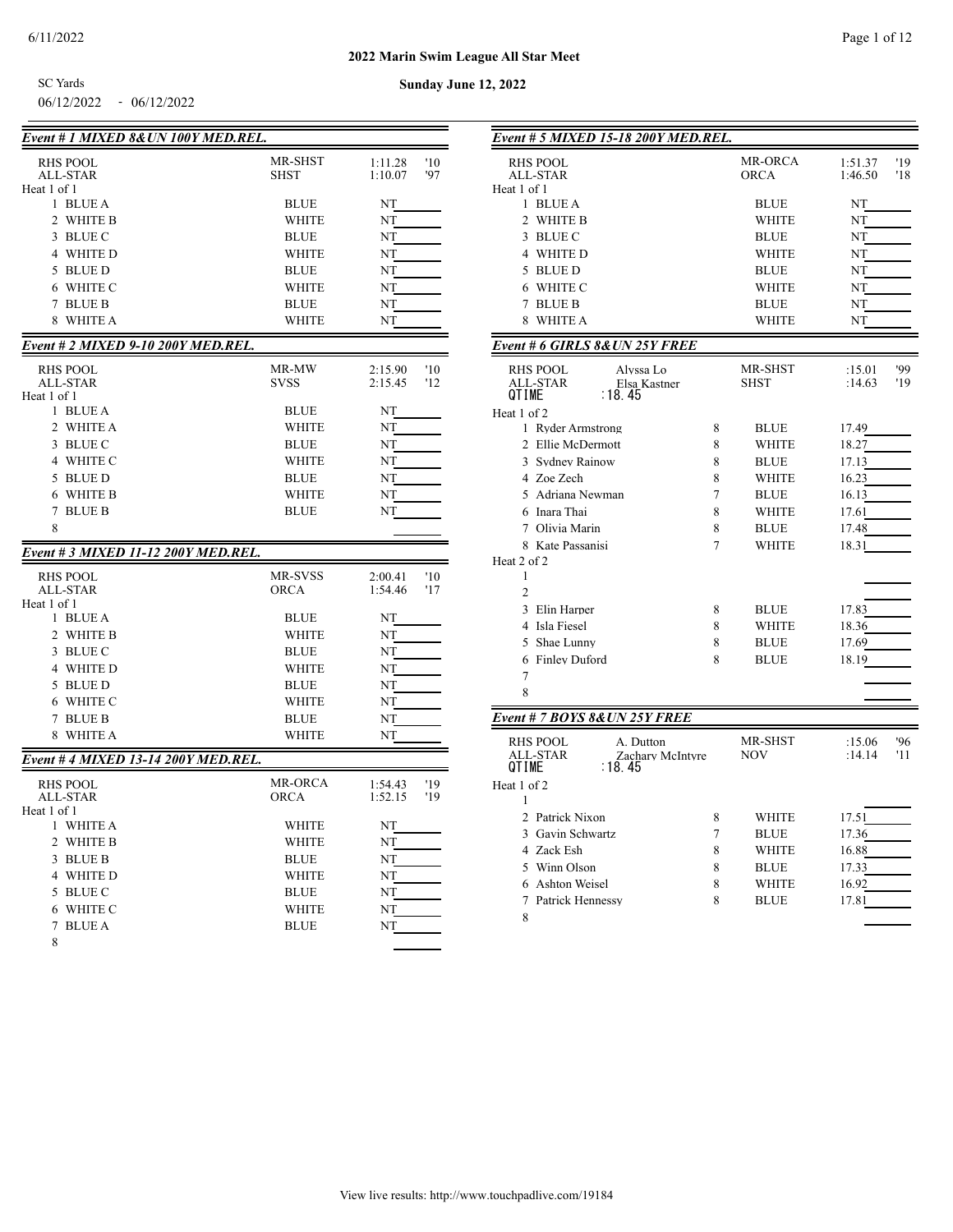SC Yards

06/12/2022 - 06/12/2022

**Sunday June 12, 2022**

| Event # 1 MIXED 8&UN 100Y MED.REL.  |                |                                  |
|-------------------------------------|----------------|----------------------------------|
| <b>RHS POOL</b>                     | MR-SHST        | '10<br>1:11.28                   |
| <b>ALL-STAR</b>                     | <b>SHST</b>    | '97<br>1:10.07                   |
| Heat 1 of 1                         |                |                                  |
| 1 BLUE A                            | <b>BLUE</b>    | NT                               |
| 2<br>WHITE B                        | WHITE          | NT                               |
| 3 BLUE C                            | <b>BLUE</b>    | NŢ                               |
| 4 WHITE D                           | WHITE          | NT                               |
| 5 BLUE D                            | <b>BLUE</b>    | NT                               |
| 6 WHITE C                           | WHITE          | NT                               |
| <b>BLUE B</b><br>7                  | <b>BLUE</b>    | NT                               |
| 8<br>WHITE A                        | <b>WHITE</b>   | NΤ                               |
| Event # 2 MIXED 9-10 200Y MED.REL.  |                |                                  |
| RHS POOL                            | MR-MW          | '10<br>2:15.90                   |
| ALL-STAR                            | <b>SVSS</b>    | 2:15.45<br>'12                   |
| Heat 1 of 1                         |                |                                  |
| 1 BLUE A                            | <b>BLUE</b>    | NT                               |
| 2 WHITE A                           | WHITE          | NT                               |
| 3 BLUE C                            | <b>BLUE</b>    | NT                               |
| 4 WHITE C                           | WHITE          | NT                               |
| 5 BLUE D                            | <b>BLUE</b>    | NT                               |
| 6 WHITE B                           | WHITE          | NT                               |
| <b>BLUE B</b><br>7                  | <b>BLUE</b>    | NT                               |
| 8                                   |                |                                  |
| Event # 3 MIXED 11-12 200Y MED.REL. |                |                                  |
|                                     | <b>MR-SVSS</b> |                                  |
| RHS POOL<br><b>ALL-STAR</b>         | <b>ORCA</b>    | 2:00.41<br>'10<br>1:54.46<br>'17 |
| Heat 1 of 1                         |                |                                  |
| 1 BLUE A                            | <b>BLUE</b>    | NT                               |
| 2 WHITE B                           | WHITE          | NT                               |
| 3 BLUE C                            | <b>BLUE</b>    | NT                               |
| 4 WHITE D                           | WHITE          | NT                               |
| 5 BLUE D                            | <b>BLUE</b>    | NT                               |
| 6 WHITE C                           | WHITE          | NT                               |
| <b>BLUE B</b><br>7                  | <b>BLUE</b>    | NT                               |
| WHITE A<br>8                        | WHITE          | NT                               |
| Event # 4 MIXED 13-14 200Y MED.REL. |                |                                  |
| <b>RHS POOL</b>                     | <b>MR-ORCA</b> | 1:54.43<br>'19                   |
| ALL-STAR                            | <b>ORCA</b>    | 1:52.15<br>'19                   |
| Heat 1 of 1                         |                |                                  |
| 1 WHITE A                           | WHITE          | NT                               |
| 2 WHITE B                           | WHITE          | NT                               |
| 3 BLUE B                            | <b>BLUE</b>    | NT                               |
| 4 WHITE D                           | <b>WHITE</b>   | NT                               |
| 5 BLUE C                            | <b>BLUE</b>    | NT                               |
| 6 WHITE C                           | WHITE          | NT                               |
| <b>BLUE A</b><br>7                  | <b>BLUE</b>    | NT                               |
| 8                                   |                |                                  |

| Event # 5 MIXED 15-18 200Y MED.REL.                       |   |                             |                |
|-----------------------------------------------------------|---|-----------------------------|----------------|
| <b>RHS POOL</b>                                           |   | MR-ORCA                     | '19<br>1:51.37 |
| <b>ALL-STAR</b>                                           |   | <b>ORCA</b>                 | 1:46.50<br>'18 |
| Heat 1 of 1                                               |   |                             |                |
| 1 BLUE A<br>$\overline{c}$                                |   | <b>BLUE</b>                 | NT             |
| WHITE B                                                   |   | <b>WHITE</b>                | NT             |
| 3<br>BLUE C                                               |   | <b>BLUE</b>                 | NT             |
| 4 WHITE D                                                 |   | <b>WHITE</b>                | NT             |
| 5 BLUE D                                                  |   | <b>BLUE</b>                 | NT             |
| 6 WHITE C<br><b>BLUE B</b>                                |   | WHITE                       | NT             |
| 7<br>8<br><b>WHITE A</b>                                  |   | <b>BLUE</b><br><b>WHITE</b> | NT<br>NT       |
|                                                           |   |                             |                |
| Event # 6 GIRLS 8& UN 25Y FREE                            |   |                             |                |
| <b>RHS POOL</b><br>Alyssa Lo                              |   | MR-SHST                     | '99<br>:15.01  |
| <b>ALL-STAR</b><br>Elsa Kastner<br><b>QTIME</b><br>∶18.45 |   | <b>SHST</b>                 | :14.63<br>'19  |
|                                                           |   |                             |                |
| Heat 1 of 2<br>1 Ryder Armstrong                          | 8 | <b>BLUE</b>                 | 17.49          |
| 2 Ellie McDermott                                         | 8 | WHITE                       | 18.27          |
| 3 Sydney Rainow                                           | 8 | <b>BLUE</b>                 | 17.13          |
| 4 Zoe Zech                                                | 8 | <b>WHITE</b>                | 16.23          |
| 5 Adriana Newman                                          | 7 | <b>BLUE</b>                 | 16.13          |
| 6 Inara Thai                                              | 8 | <b>WHITE</b>                | 17.61          |
| 7 Olivia Marin                                            | 8 | BLUE                        | 17.48          |
| 8 Kate Passanisi                                          | 7 | WHITE                       | 18.31          |
| Heat 2 of 2                                               |   |                             |                |
| 1                                                         |   |                             |                |
| $\overline{2}$                                            |   |                             |                |
| 3<br>Elin Harper                                          | 8 | BLUE                        | 17.83          |
| Isla Fiesel<br>4                                          | 8 | <b>WHITE</b>                | 18.36          |
| 5<br>Shae Lunny                                           | 8 | <b>BLUE</b>                 | 17.69          |
| 6 Finley Duford                                           | 8 | <b>BLUE</b>                 | 18.19          |
| $\overline{7}$                                            |   |                             |                |
| 8                                                         |   |                             |                |
|                                                           |   |                             |                |
| Event # 7 BOYS 8&UN 25Y FREE                              |   |                             |                |
| <b>RHS POOL</b><br>A. Dutton                              |   | MR-SHST                     | '96<br>:15.06  |
| ALL-STAR<br>Zachary McIntyre<br><b>QTIME</b><br>: 18.45   |   | <b>NOV</b>                  | :14.14<br>'11  |
| Heat 1 of 2                                               |   |                             |                |
| 1                                                         |   |                             |                |
| 2 Patrick Nixon                                           | 8 | <b>WHITE</b>                | 17.51          |
| 3 Gavin Schwartz                                          | 7 | <b>BLUE</b>                 | 17.36          |
| 4 Zack Esh                                                | 8 | WHITE                       | 16.88          |
| 5 Winn Olson                                              | 8 | <b>BLUE</b>                 | 17.33          |
| Ashton Weisel<br>6                                        | 8 | WHITE                       | 16.92          |
| Patrick Hennessy<br>7                                     | 8 | <b>BLUE</b>                 | 17.81          |
| 8                                                         |   |                             |                |
|                                                           |   |                             |                |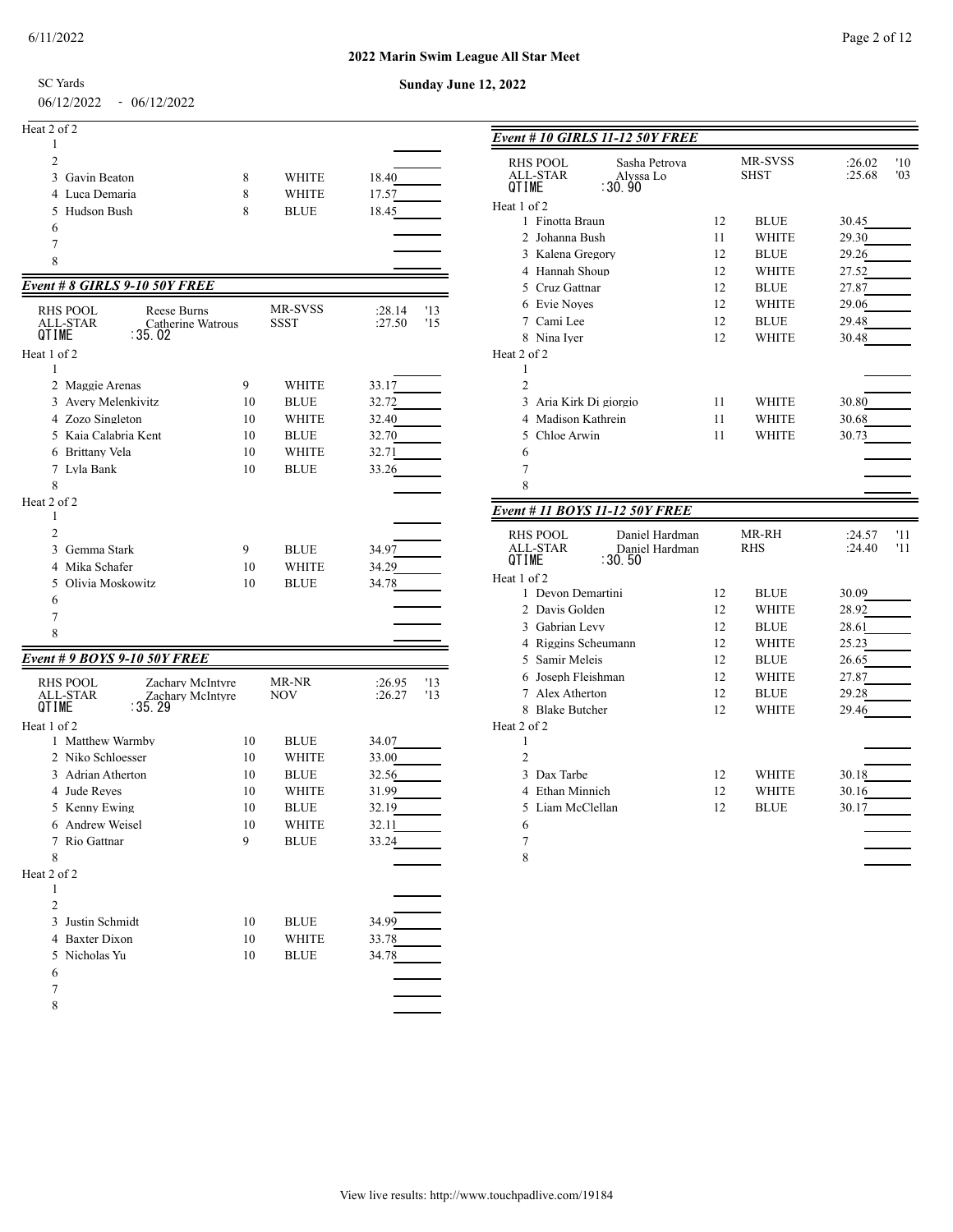#### **2022 Marin Swim League All Star Meet**

SC Yards

06/12/2022 - 06/12/2022

| Sunday June 12, 2022 |
|----------------------|
|                      |
|                      |
|                      |
|                      |

| Heat 2 of 2    |   |              |       |
|----------------|---|--------------|-------|
|                |   |              |       |
| 2              |   |              |       |
| 3 Gavin Beaton | 8 | <b>WHITE</b> | 18.40 |
| 4 Luca Demaria | 8 | <b>WHITE</b> | 17.57 |
| 5 Hudson Bush  | 8 | <b>BLUE</b>  | 18.45 |
| 6              |   |              |       |
|                |   |              |       |
| 8              |   |              |       |

## *Event # 8 GIRLS 9-10 50Y FREE*

| <b>RHS POOL</b><br>ALL-STAR<br>QTIME         | Reese Burns<br>Catherine Watrous<br>∶35.02       |    | MR-SVSS<br><b>SSST</b> | : 28.14<br>:27.50 | '13<br>'15 |
|----------------------------------------------|--------------------------------------------------|----|------------------------|-------------------|------------|
| Heat 1 of 2                                  |                                                  |    |                        |                   |            |
| 1                                            |                                                  |    |                        |                   |            |
| $\mathfrak{D}$<br>Maggie Arenas              |                                                  | 9  | <b>WHITE</b>           | 33.17             |            |
| 3 Avery Melenkivitz                          |                                                  | 10 | <b>BLUE</b>            | 32.72             |            |
| 4 Zozo Singleton                             |                                                  | 10 | <b>WHITE</b>           | 32.40             |            |
| 5 Kaia Calabria Kent                         |                                                  | 10 | <b>BLUE</b>            | 32.70             |            |
| <b>Brittany Vela</b><br>6                    |                                                  | 10 | <b>WHITE</b>           | 32.71             |            |
| 7 Lyla Bank                                  |                                                  | 10 | <b>BLUE</b>            | 33.26             |            |
| 8                                            |                                                  |    |                        |                   |            |
| Heat 2 of 2                                  |                                                  |    |                        |                   |            |
| 1                                            |                                                  |    |                        |                   |            |
| $\mathfrak{D}$                               |                                                  |    |                        |                   |            |
| $\mathcal{E}$<br>Gemma Stark                 |                                                  | 9  | <b>BLUE</b>            | 34.97             |            |
| Mika Schafer<br>4                            |                                                  | 10 | <b>WHITE</b>           | 34.29             |            |
| $\overline{\phantom{0}}$<br>Olivia Moskowitz |                                                  | 10 | <b>BLUE</b>            | 34.78             |            |
| 6                                            |                                                  |    |                        |                   |            |
| $\overline{7}$                               |                                                  |    |                        |                   |            |
| 8                                            |                                                  |    |                        |                   |            |
| Event # 9 BOYS 9-10 50Y FREE                 |                                                  |    |                        |                   |            |
|                                              |                                                  |    | MR-NR                  |                   |            |
| <b>RHS POOL</b><br><b>ALL-STAR</b><br>QTIME  | Zachary McIntyre<br>Zachary McIntyre<br>: 35. 29 |    | <b>NOV</b>             | :26.95<br>:26.27  | '13<br>13  |
| Heat 1 of 2                                  |                                                  |    |                        |                   |            |
| 1 Matthew Warmby                             |                                                  | 10 | <b>BLUE</b>            | 34.07             |            |
| 2 Niko Schloesser                            |                                                  | 10 | <b>WHITE</b>           | 33.00             |            |
| Adrian Atherton<br>3                         |                                                  | 10 | <b>BLUE</b>            | 32.56             |            |
| 4 Jude Reyes                                 |                                                  | 10 | <b>WHITE</b>           | 31.99             |            |

 Kenny Ewing 10 BLUE 32.19 Andrew Weisel 10 WHITE 32.11 Rio Gattnar 9 BLUE 33.24 

 2 a *z* a *z* a *z* a *z* a *z* a *z* a *z* a *z* a *z* a *z* a *z* a *z* a *z* a *z* a *z* a *z* 3 Justin Schmidt 10 BLUE 34.99<br>4 Baxter Dixon 10 WHITE 33.78 Baxter Dixon 10 WHITE 33.78 Nicholas Yu 10 BLUE 34.78 

 

Heat 2 of 2

| Event # 10 GIRLS 11-12 50Y FREE                                                            |    |                        |                                |
|--------------------------------------------------------------------------------------------|----|------------------------|--------------------------------|
| <b>RHS POOL</b><br>Sasha Petrova<br><b>ALL-STAR</b><br>Alyssa Lo<br>:30.90<br><b>QTIME</b> |    | MR-SVSS<br><b>SHST</b> | '10<br>:26.02<br>:25.68<br>'03 |
| Heat 1 of 2                                                                                |    |                        |                                |
| 1 Finotta Braun                                                                            | 12 | <b>BLUE</b>            | 30.45                          |
| 2 Johanna Bush                                                                             | 11 | <b>WHITE</b>           | 29.30                          |
| 3 Kalena Gregory                                                                           | 12 | <b>BLUE</b>            | 29.26                          |
| 4 Hannah Shoup                                                                             | 12 | <b>WHITE</b>           | 27.52                          |
| 5 Cruz Gattnar                                                                             | 12 | <b>BLUE</b>            | 27.87                          |
| 6 Evie Noves                                                                               | 12 | <b>WHITE</b>           | 29.06                          |
| 7 Cami Lee                                                                                 | 12 | <b>BLUE</b>            | 29.48                          |
| 8 Nina Iver                                                                                | 12 | <b>WHITE</b>           | 30.48                          |
| Heat 2 of 2                                                                                |    |                        |                                |
| 1                                                                                          |    |                        |                                |
| $\overline{2}$                                                                             |    |                        |                                |
| 3<br>Aria Kirk Di giorgio                                                                  | 11 | WHITE                  | 30.80                          |
| 4 Madison Kathrein                                                                         | 11 | WHITE                  | 30.68                          |
| 5 Chloe Arwin                                                                              | 11 | WHITE                  | 30.73                          |
| 6                                                                                          |    |                        |                                |
| 7                                                                                          |    |                        |                                |
| 8                                                                                          |    |                        |                                |
| Event # 11 BOYS 11-12 50Y FREE                                                             |    |                        |                                |
| <b>RHS POOL</b><br>Daniel Hardman                                                          |    | MR-RH                  | '11<br>:24.57                  |
| ALL-STAR<br>Daniel Hardman<br>QTIME<br>: 30.50                                             |    | RHS                    | :24.40<br>'11                  |
|                                                                                            |    |                        |                                |
| Heat 1 of 2                                                                                |    |                        |                                |
| 1 Devon Demartini                                                                          | 12 | <b>BLUE</b>            | 30.09                          |
| 2 Davis Golden                                                                             | 12 | WHITE                  | 28.92                          |
| 3 Gabrian Levy                                                                             | 12 | <b>BLUE</b>            | 28.61                          |
| 4 Riggins Scheumann                                                                        | 12 | WHITE                  | 25.23                          |
| 5 Samir Meleis                                                                             | 12 | <b>BLUE</b>            | 26.65                          |
| 6 Joseph Fleishman                                                                         | 12 | WHITE                  | 27.87                          |
| 7 Alex Atherton                                                                            | 12 | <b>BLUE</b>            | 29.28                          |
| 8 Blake Butcher                                                                            | 12 | <b>WHITE</b>           | 29.46                          |
| Heat 2 of 2                                                                                |    |                        |                                |
| 1                                                                                          |    |                        |                                |
| $\overline{2}$                                                                             |    |                        |                                |
| 3 Dax Tarbe                                                                                | 12 | WHITE                  | 30.18                          |
| 4 Ethan Minnich                                                                            | 12 | WHITE                  | 30.16                          |
| Liam McClellan<br>5                                                                        | 12 | <b>BLUE</b>            | 30.17                          |
| 6                                                                                          |    |                        |                                |
| 7<br>8                                                                                     |    |                        |                                |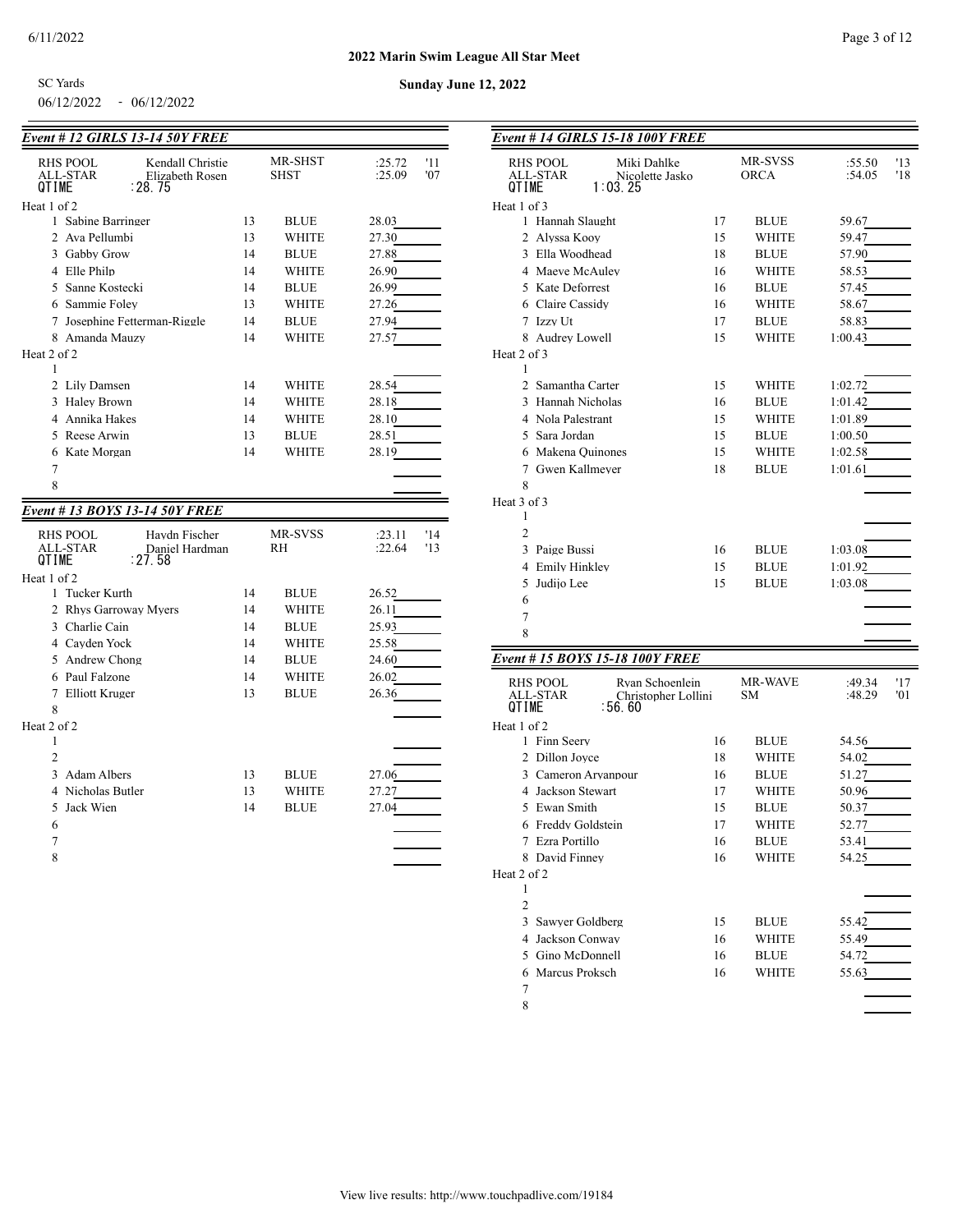**Sunday June 12, 2022**

| <b>SC</b> Yards |               |
|-----------------|---------------|
| 06/12/2022      | $-06/12/2022$ |

| <b>Event # 12 GIRLS 13-14 50Y FREE</b>         |          |              |                |
|------------------------------------------------|----------|--------------|----------------|
| <b>RHS POOL</b><br>Kendall Christie            |          | MR-SHST      | :25.72<br>'11  |
| ALL-STAR<br>Elizabeth Rosen                    |          | <b>SHST</b>  | :25.09<br>'07  |
| : 28. 75<br>QTIME                              |          |              |                |
| Heat 1 of 2<br>1 Sabine Barringer              |          |              |                |
|                                                | 13       | <b>BLUE</b>  | 28.03          |
| 2 Ava Pellumbi                                 | 13<br>14 | WHITE        | 27.30          |
| 3 Gabby Grow                                   |          | <b>BLUE</b>  | 27.88          |
| 4 Elle Philp                                   | 14       | <b>WHITE</b> | 26.90          |
| 5 Sanne Kostecki                               | 14       | <b>BLUE</b>  | 26.99          |
| 6 Sammie Folev                                 | 13       | WHITE        | 27.26          |
| 7 Josephine Fetterman-Riggle                   | 14       | <b>BLUE</b>  | 27.94          |
| 8 Amanda Mauzy                                 | 14       | <b>WHITE</b> | 27.57          |
| Heat 2 of 2<br>1                               |          |              |                |
| 2 Lily Damsen                                  | 14       | WHITE        | 28.54          |
| 3 Halev Brown                                  | 14       | WHITE        | 28.18          |
| 4 Annika Hakes                                 | 14       | WHITE        | 28.10          |
| 5 Reese Arwin                                  | 13       | <b>BLUE</b>  | 28.51          |
| 6 Kate Morgan                                  | 14       | <b>WHITE</b> | 28.19          |
| 7                                              |          |              |                |
| 8                                              |          |              |                |
|                                                |          |              |                |
| Event # 13 BOYS 13-14 50Y FREE                 |          |              |                |
| RHS POOL<br>Havdn Fischer                      |          | MR-SVSS      | : 23.11<br>'14 |
| ALL-STAR<br>Daniel Hardman<br>QTIME<br>: 27.58 |          | <b>RH</b>    | :22.64<br>13   |
| Heat 1 of 2                                    |          |              |                |
| 1 Tucker Kurth                                 | 14       | <b>BLUE</b>  | 26.52          |
| 2 Rhys Garroway Myers                          | 14       | <b>WHITE</b> | 26.11          |
| 3 Charlie Cain                                 | 14       | <b>BLUE</b>  | 25.93          |
| 4 Cavden Yock                                  | 14       | <b>WHITE</b> | 25.58          |
| 5 Andrew Chong                                 | 14       | <b>BLUE</b>  | 24.60          |
| 6 Paul Falzone                                 | 14       | <b>WHITE</b> | 26.02          |
| 7 Elliott Kruger                               | 13       | <b>BLUE</b>  | 26.36          |
| 8                                              |          |              |                |
| Heat 2 of 2                                    |          |              |                |
| 1                                              |          |              |                |
| $\overline{2}$                                 |          |              |                |
| 3 Adam Albers                                  | 13       | <b>BLUE</b>  | 27.06          |
| 4 Nicholas Butler                              | 13       | <b>WHITE</b> | 27.27          |
| Jack Wien<br>5.                                | 14       | <b>BLUE</b>  | 27.04          |
| 6                                              |          |              |                |
| 7                                              |          |              |                |
| 8                                              |          |              |                |
|                                                |          |              |                |
|                                                |          |              |                |

| <b>Event # 14 GIRLS 15-18 100Y FREE</b>                                   |    |                        |                  |            |
|---------------------------------------------------------------------------|----|------------------------|------------------|------------|
| Miki Dahlke<br>RHS POOL<br>ALL-STAR<br>Nicolette Jasko<br>1:03.25<br>! M⊢ |    | MR-SVSS<br><b>ORCA</b> | :55.50<br>:54.05 | '13<br>'18 |
| Heat 1 of 3                                                               |    |                        |                  |            |
| 1 Hannah Slaught                                                          | 17 | <b>BLUE</b>            | 59.67            |            |
| 2 Alyssa Kooy                                                             | 15 | WHITE                  | 59.47            |            |
| 3 Ella Woodhead                                                           | 18 | <b>BLUE</b>            | 57.90            |            |
| 4 Maeve McAuley                                                           | 16 | WHITE                  | 58.53            |            |
| 5 Kate Deforrest                                                          | 16 | <b>BLUE</b>            | 57.45            |            |
| 6 Claire Cassidy                                                          | 16 | WHITE                  | 58.67            |            |
| 7 Izzy Ut                                                                 | 17 | <b>BLUE</b>            | 58.83            |            |
| 8 Audrey Lowell                                                           | 15 | WHITE                  | 1:00.43          |            |
| Heat 2 of 3                                                               |    |                        |                  |            |
| 1                                                                         |    |                        |                  |            |
| 2 Samantha Carter                                                         | 15 | WHITE                  | 1:02.72          |            |
| 3 Hannah Nicholas                                                         | 16 | <b>BLUE</b>            | 1:01.42          |            |
| 4 Nola Palestrant                                                         | 15 | WHITE                  | 1:01.89          |            |
| 5 Sara Jordan                                                             | 15 | <b>BLUE</b>            | 1:00.50          |            |
| 6 Makena Quinones                                                         | 15 | WHITE                  | 1:02.58          |            |
| Gwen Kallmeyer<br>7<br>8                                                  | 18 | <b>BLUE</b>            | 1:01.61          |            |
| Heat 3 of 3                                                               |    |                        |                  |            |
| 1                                                                         |    |                        |                  |            |
| $\overline{2}$                                                            |    |                        |                  |            |
| Paige Bussi<br>3                                                          | 16 | <b>BLUE</b>            | 1:03.08          |            |
| Emily Hinkley<br>4                                                        | 15 | <b>BLUE</b>            | 1:01.92          |            |
| 5<br>Judijo Lee                                                           | 15 | <b>BLUE</b>            | 1:03.08          |            |
| 6                                                                         |    |                        |                  |            |
| 7                                                                         |    |                        |                  |            |
| 8                                                                         |    |                        |                  |            |
| Event #15 BOYS 15-18 100Y FREE                                            |    |                        |                  |            |
|                                                                           |    | MR-WAVE                |                  |            |
| Ryan Schoenlein<br>RHS POOL<br>ALL-STAR<br>Christopher Lollini            |    | SМ                     | :49.34<br>:48.29 | '17<br>'01 |
| :56.60<br>QTIME                                                           |    |                        |                  |            |
| Heat 1 of 2                                                               |    |                        |                  |            |
| 1 Finn Seery                                                              | 16 | <b>BLUE</b>            | 54.56            |            |
| 2 Dillon Jovce                                                            | 18 | WHITE                  | 54.02            |            |
| 3 Cameron Aryanpour                                                       | 16 | <b>BLUE</b>            | 51.27            |            |
| 4 Jackson Stewart                                                         | 17 | WHITE                  | 50.96            |            |
| 5 Ewan Smith                                                              | 15 | <b>BLUE</b>            | 50.37            |            |
| 6 Freddy Goldstein                                                        | 17 | WHITE                  | 52.77            |            |
| 7 Ezra Portillo                                                           | 16 | <b>BLUE</b>            | 53.41            |            |
| 8 David Finney                                                            | 16 | WHITE                  | 54.25            |            |
| Heat 2 of 2<br>1                                                          |    |                        |                  |            |
| 2                                                                         |    |                        |                  |            |
| 3 Sawver Goldberg                                                         | 15 | <b>BLUE</b>            | 55.42            |            |
| 4 Jackson Conway                                                          | 16 | WHITE                  | 55.49            |            |
| 5 Gino McDonnell                                                          | 16 | BLUE                   | 54.72            |            |
| 6 Marcus Proksch                                                          | 16 | WHITE                  | 55.63            |            |
| 7                                                                         |    |                        |                  |            |
|                                                                           |    |                        |                  |            |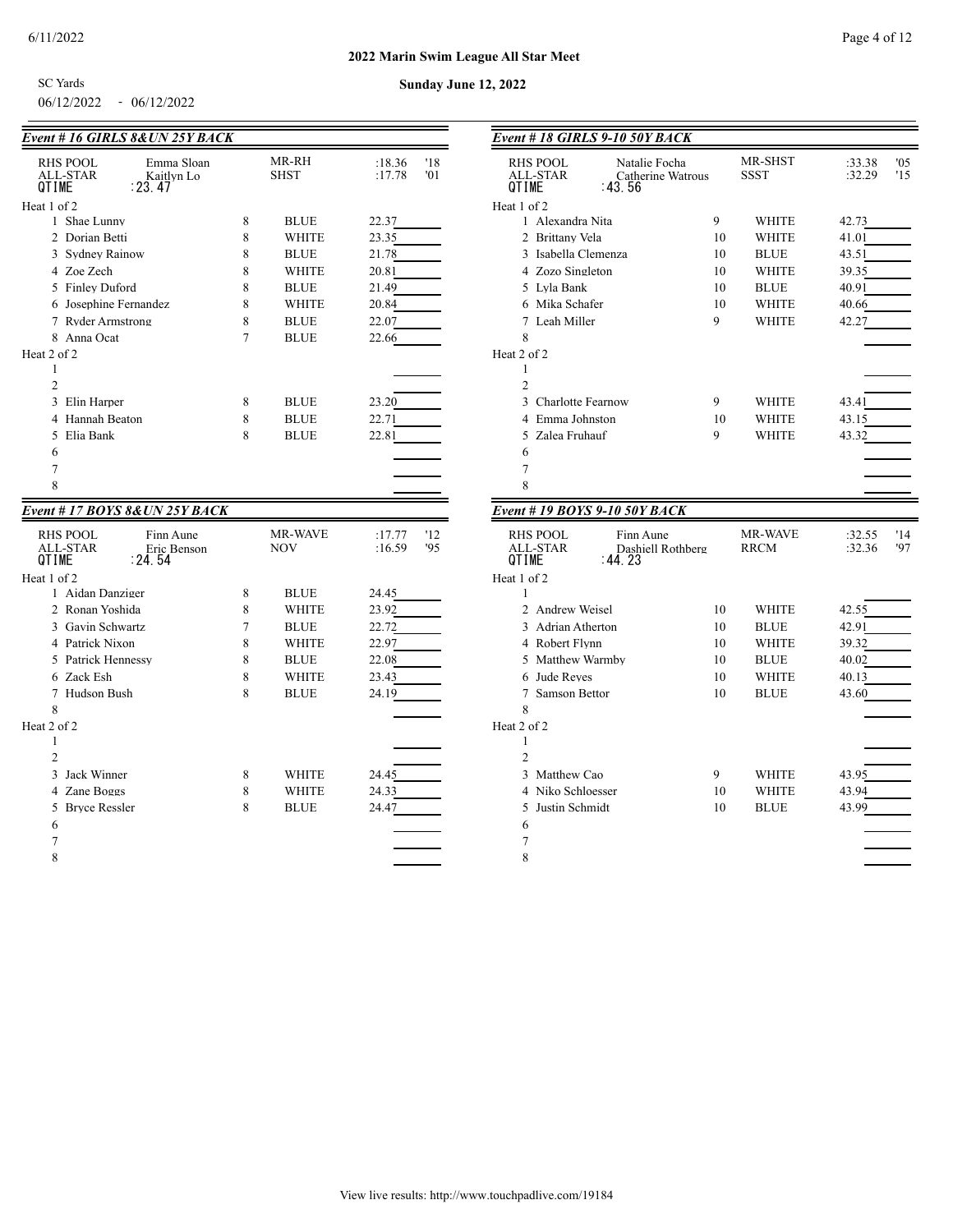$\overline{\phantom{a}}$ 

**Sunday June 12, 2022**

06/12/2022 - 06/12/2022 SC Yards

| Event # 16 GIRLS 8& UN 25Y BACK                                                           |        |                       |                                |
|-------------------------------------------------------------------------------------------|--------|-----------------------|--------------------------------|
| <b>RHS POOL</b><br>Emma Sloan<br><b>ALL-STAR</b><br>Kaitlyn Lo<br>: 23.47<br><b>QTIMF</b> |        | MR-RH<br><b>SHST</b>  | :18.36<br>'18<br>:17.78<br>'01 |
| Heat 1 of 2                                                                               |        |                       |                                |
| 1 Shae Lunny                                                                              | 8      | <b>BLUE</b>           | 22.37                          |
| 2 Dorian Betti                                                                            | 8      | <b>WHITE</b>          | 23.35                          |
| 3 Sydney Rainow                                                                           | 8      | <b>BLUE</b>           | 21.78                          |
| 4 Zoe Zech                                                                                | 8      | WHITE                 | 20.81                          |
| 5 Finley Duford                                                                           | 8      | <b>BLUE</b>           | 21.49                          |
| 6 Josephine Fernandez                                                                     | 8      | <b>WHITE</b>          | 20.84                          |
| 7 Ryder Armstrong                                                                         | 8      | <b>BLUE</b>           | 22.07                          |
| 8 Anna Ocat                                                                               | $\tau$ | <b>BLUE</b>           | 22.66                          |
| Heat 2 of 2                                                                               |        |                       |                                |
| 1                                                                                         |        |                       |                                |
| $\overline{2}$                                                                            |        |                       |                                |
| 3<br>Elin Harper                                                                          | 8      | <b>BLUE</b>           | 23.20                          |
| Hannah Beaton<br>4                                                                        | 8      | <b>BLUE</b>           | 22.71                          |
| Elia Bank<br>5                                                                            | 8      | <b>BLUE</b>           | 22.81                          |
| 6                                                                                         |        |                       |                                |
| 7                                                                                         |        |                       |                                |
| 8                                                                                         |        |                       |                                |
|                                                                                           |        |                       |                                |
| Event #17 BOYS 8& UN 25Y BACK                                                             |        |                       |                                |
| <b>RHS POOL</b><br>Finn Aune<br><b>ALL-STAR</b><br>Eric Benson<br>: 24. 54<br>QTIME       |        | MR-WAVE<br><b>NOV</b> | :17.77<br>'12<br>:16.59<br>'95 |
| Heat 1 of 2                                                                               |        |                       |                                |
| 1 Aidan Danziger                                                                          | 8      | <b>BLUE</b>           | 24.45                          |
| 2 Ronan Yoshida                                                                           | 8      | <b>WHITE</b>          | 23.92                          |
| 3 Gavin Schwartz                                                                          | 7      | <b>BLUE</b>           | 22.72                          |
| 4 Patrick Nixon                                                                           | 8      | <b>WHITE</b>          | 22.97                          |
| 5 Patrick Hennessy                                                                        | 8      | <b>BLUE</b>           | 22.08                          |
| 6 Zack Esh                                                                                | 8      | <b>WHITE</b>          | 23.43                          |
| 7 Hudson Bush                                                                             | 8      | <b>BLUE</b>           | 24.19                          |
| 8                                                                                         |        |                       |                                |
| Heat 2 of 2                                                                               |        |                       |                                |
| 1                                                                                         |        |                       |                                |
| $\overline{c}$                                                                            |        |                       |                                |
| 3<br>Jack Winner                                                                          | 8      | <b>WHITE</b>          | 24.45                          |
| 4 Zane Boggs                                                                              | 8      | WHITE                 | 24.33                          |
| 5 Brvce Ressler<br>6                                                                      | 8      | <b>BLUE</b>           | 24.47                          |

| $\overline{a}$ |  |  |  |
|----------------|--|--|--|
|                |  |  |  |
|                |  |  |  |
|                |  |  |  |
|                |  |  |  |

| Event # 18 GIRLS 9-10 50Y BACK                             |    |                 |                  |            |
|------------------------------------------------------------|----|-----------------|------------------|------------|
|                                                            |    |                 |                  |            |
| RHS POOL<br>Natalie Focha<br>ALL-STAR<br>Catherine Watrous |    | MR-SHST<br>SSST | :33.38<br>:32.29 | 0.5<br>'15 |
| QTIME<br>: 43.56                                           |    |                 |                  |            |
| Heat 1 of 2                                                |    |                 |                  |            |
| 1 Alexandra Nita                                           | 9  | WHITE           | 42.73            |            |
| 2 Brittany Vela                                            | 10 | <b>WHITE</b>    | 41.01            |            |
| 3 Isabella Clemenza                                        | 10 | <b>BLUE</b>     | 43.51            |            |
| 4 Zozo Singleton                                           | 10 | WHITE           | 39.35            |            |
| 5 Lyla Bank                                                | 10 | <b>BLUE</b>     | 40.91            |            |
| 6 Mika Schafer                                             | 10 | <b>WHITE</b>    | 40.66            |            |
| 7 Leah Miller                                              | 9  | <b>WHITE</b>    | 42.27            |            |
| 8<br>Heat 2 of 2                                           |    |                 |                  |            |
| 1                                                          |    |                 |                  |            |
| $\overline{2}$                                             |    |                 |                  |            |
| 3 Charlotte Fearnow                                        | 9  | WHITE           | 43.41            |            |
| 4 Emma Johnston                                            | 10 | WHITE           | 43.15            |            |
| 5 Zalea Fruhauf                                            | 9  | <b>WHITE</b>    | 43.32            |            |
| 6                                                          |    |                 |                  |            |
| 7                                                          |    |                 |                  |            |
| 8                                                          |    |                 |                  |            |
| Event # 19 BOYS 9-10 50Y BACK                              |    |                 |                  |            |
| <b>RHS POOL</b><br>Finn Aune                               |    | MR-WAVE         | :32.55           | '14        |
| ALL-STAR<br>Dashiell Rothberg<br>QTIME<br>: 44. 23         |    | <b>RRCM</b>     | :32.36           | 97         |
| Heat 1 of 2                                                |    |                 |                  |            |
| 1                                                          |    |                 |                  |            |
| 2 Andrew Weisel                                            | 10 | WHITE           | 42.55            |            |
| 3 Adrian Atherton                                          | 10 | <b>BLUE</b>     | 42.91            |            |
| 4 Robert Flynn                                             | 10 | WHITE           | 39.32            |            |
| 5 Matthew Warmby                                           | 10 | <b>BLUE</b>     | 40.02            |            |
| 6 Jude Reyes                                               | 10 | <b>WHITE</b>    | 40.13            |            |
| 7 Samson Bettor                                            | 10 | <b>BLUE</b>     | 43.60            |            |
| 8                                                          |    |                 |                  |            |
| Heat 2 of 2                                                |    |                 |                  |            |
| 1<br>$\overline{2}$                                        |    |                 |                  |            |
| 3<br>Matthew Cao                                           | 9  | WHITE           | 43.95            |            |
| 4 Niko Schloesser                                          | 10 | WHITE           | 43.94            |            |
| Justin Schmidt<br>5                                        | 10 | <b>BLUE</b>     | 43.99            |            |
| 6                                                          |    |                 |                  |            |
|                                                            |    |                 |                  |            |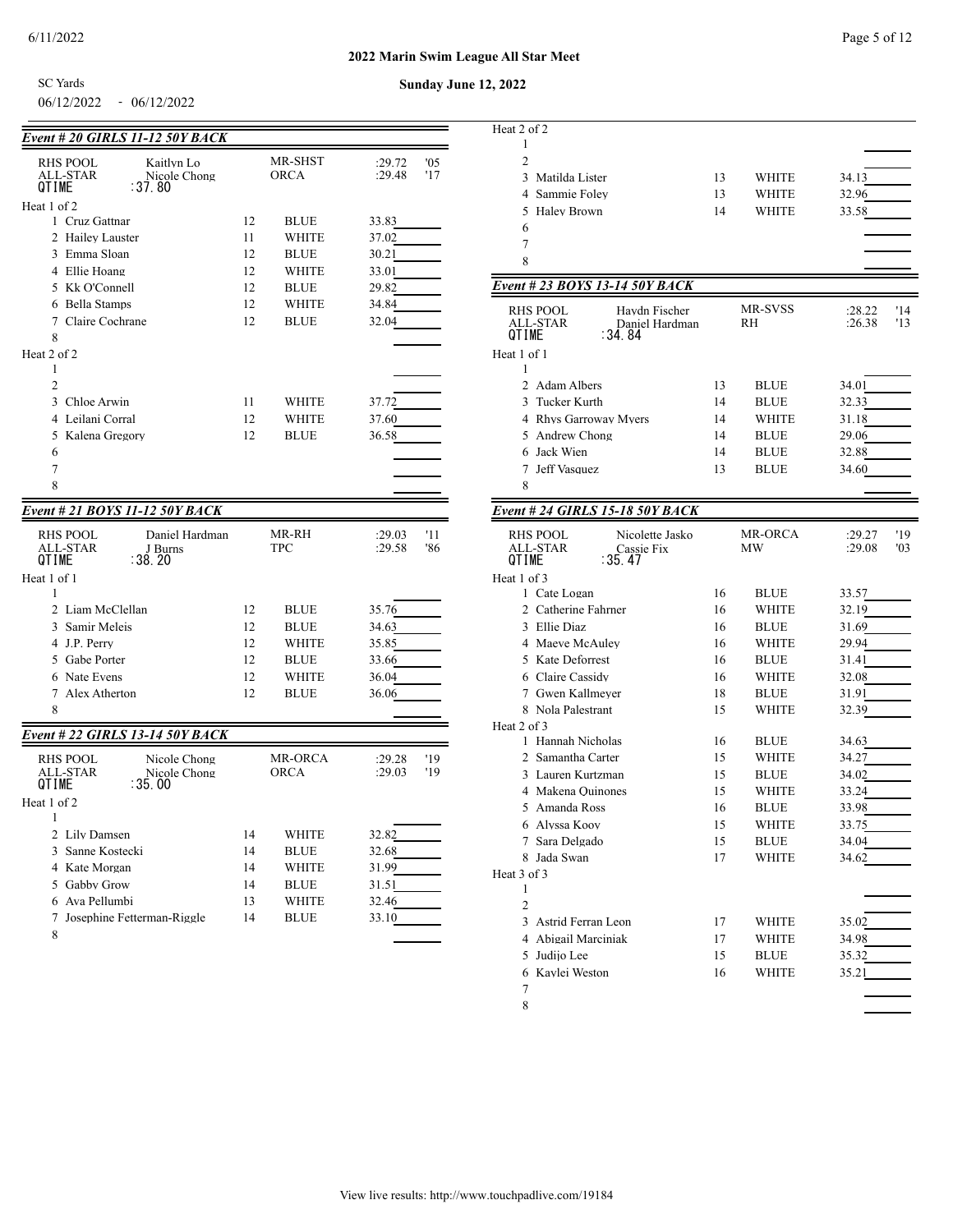SC Yards

## 06/12/2022 - 06/12/2022

| Event # 20 GIRLS 11-12 50Y BACK                |          |                      |                |
|------------------------------------------------|----------|----------------------|----------------|
| <b>RHS POOL</b><br>Kaitlyn Lo                  |          | MR-SHST              | :29.72<br>'05  |
| ALL-STAR<br>Nicole Chong<br>QTIME<br>: 37.80   |          | <b>ORCA</b>          | :29.48<br>'17  |
| Heat 1 of 2                                    |          |                      |                |
| 1 Cruz Gattnar                                 | 12       | BLUE                 | 33.83          |
| $\mathfrak{D}$<br><b>Hailey Lauster</b>        | 11       | WHITE                | 37.02          |
| 3 Emma Sloan                                   | 12       | <b>BLUE</b>          | 30.21          |
| 4 Ellie Hoang                                  | 12       | WHITE                | 33.01          |
| 5 Kk O'Connell                                 | 12       | <b>BLUE</b>          | 29.82          |
| 6 Bella Stamps                                 | 12       | WHITE                | 34.84          |
| 7 Claire Cochrane                              | 12       | <b>BLUE</b>          | 32.04          |
| 8                                              |          |                      |                |
| Heat 2 of 2                                    |          |                      |                |
| 1                                              |          |                      |                |
| $\overline{2}$                                 |          |                      |                |
| 3<br>Chloe Arwin                               | 11       | WHITE                | 37.72          |
| 4<br>Leilani Corral                            | 12       | WHITE                | 37.60          |
| 5<br>Kalena Gregory                            | 12       | <b>BLUE</b>          | 36.58          |
| 6                                              |          |                      |                |
| 7                                              |          |                      |                |
| 8                                              |          |                      |                |
| Event # 21 BOYS 11-12 50Y BACK                 |          |                      |                |
| <b>RHS POOL</b><br>Daniel Hardman              |          | MR-RH                | :29.03<br>'11  |
| <b>ALL-STAR</b><br>J Burns<br>: 38. 20         |          | <b>TPC</b>           | :29.58<br>'86  |
| QTIME                                          |          |                      |                |
| Heat 1 of 1<br>1                               |          |                      |                |
| 2 Liam McClellan                               | 12       | <b>BLUE</b>          | 35.76          |
| 3<br>Samir Meleis                              | 12       | <b>BLUE</b>          | 34.63          |
| 4 J.P. Perry                                   | 12       | WHITE                | 35.85          |
| 5 Gabe Porter                                  | 12       | <b>BLUE</b>          | 33.66          |
| 6 Nate Evens                                   | 12       | WHITE                | 36.04          |
| 7 Alex Atherton                                | 12       | <b>BLUE</b>          | 36.06          |
| 8                                              |          |                      |                |
|                                                |          |                      |                |
| Event # 22 GIRLS 13-14 50Y BACK                |          |                      |                |
| <b>RHS POOL</b><br>Nicole Chong                |          |                      |                |
|                                                |          | <b>MR-ORCA</b>       | :29.28<br>'19  |
| ALL-STAR<br>Nicole Chong<br>QTIME<br>∶35.00    |          | <b>ORCA</b>          | :29.03<br>'19  |
| Heat 1 of 2                                    |          |                      |                |
| 1                                              |          |                      |                |
| 2 Lily Damsen                                  | 14       | WHITE                | 32.82          |
| 3 Sanne Kostecki                               | 14       | <b>BLUE</b>          | 32.68          |
| 4 Kate Morgan                                  | 14       | WHITE                | 31.99          |
| 5 Gabby Grow                                   | 14       | <b>BLUE</b>          | 31.51          |
| 6 Ava Pellumbi<br>7 Josephine Fetterman-Riggle | 13<br>14 | WHITE<br><b>BLUE</b> | 32.46<br>33.10 |

| Heat 2 of 2                               |    |              |               |
|-------------------------------------------|----|--------------|---------------|
| 1                                         |    |              |               |
| 2                                         |    |              |               |
| 3 Matilda Lister                          | 13 | WHITE        | 34.13         |
| 4 Sammie Foley                            | 13 | WHITE        | 32.96         |
| 5 Halev Brown                             | 14 | <b>WHITE</b> | 33.58         |
| 6                                         |    |              |               |
| 7                                         |    |              |               |
| 8                                         |    |              |               |
| Event # 23 BOYS 13-14 50Y BACK            |    |              |               |
| RHS POOL<br>Haydn Fischer                 |    | MR-SVSS      | :28.22<br>'14 |
| <b>ALL-STAR</b><br>Daniel Hardman         |    | RH           | :26.38<br>'13 |
| :34.84<br>QTIME                           |    |              |               |
| Heat 1 of 1                               |    |              |               |
| 1                                         |    |              |               |
| 2 Adam Albers                             | 13 | <b>BLUE</b>  | 34.01         |
| 3 Tucker Kurth                            | 14 | <b>BLUE</b>  | 32.33         |
| 4 Rhys Garroway Myers                     | 14 | WHITE        | 31.18         |
| 5 Andrew Chong                            | 14 | <b>BLUE</b>  | 29.06         |
| 6 Jack Wien                               | 14 | <b>BLUE</b>  | 32.88         |
| 7 Jeff Vasquez                            | 13 | <b>BLUE</b>  | 34.60         |
| 8                                         |    |              |               |
| <b>Event # 24 GIRLS 15-18 50Y BACK</b>    |    |              |               |
|                                           |    |              |               |
| <b>RHS POOL</b><br>Nicolette Jasko        |    | MR-ORCA      | :29.27<br>'19 |
| ALL-STAR<br>Cassie Fix<br>∶35.47<br>QTIME |    | MW           | :29.08<br>'03 |
| Heat 1 of 3                               |    |              |               |
| 1 Cate Logan                              | 16 | <b>BLUE</b>  | 33.57         |
| 2 Catherine Fahrner                       | 16 | WHITE        | 32.19         |
| 3 Ellie Diaz                              | 16 | <b>BLUE</b>  | 31.69         |
| 4 Maeve McAuley                           | 16 | WHITE        | 29.94         |
| 5 Kate Deforrest                          | 16 | <b>BLUE</b>  | 31.41         |
| 6 Claire Cassidy                          | 16 | WHITE        | 32.08         |
| 7 Gwen Kallmever                          | 18 | <b>BLUE</b>  | 31.91         |
| 8 Nola Palestrant                         | 15 | WHITE        | 32.39         |
| Heat 2 of 3                               |    |              |               |
| 1 Hannah Nicholas                         | 16 | <b>BLUE</b>  | 34.63         |
| 2 Samantha Carter                         | 15 | WHITE        | 34.27         |
| 3 Lauren Kurtzman                         | 15 | <b>BLUE</b>  | 34.02         |
| 4 Makena Quinones                         | 15 | WHITE        | 33.24         |
| 5 Amanda Ross                             | 16 | <b>BLUE</b>  | 33.98         |
| 6 Alyssa Kooy                             | 15 | WHITE        | 33.75         |
| 7 Sara Delgado                            | 15 | <b>BLUE</b>  | 34.04         |
| 8 Jada Swan                               | 17 | WHITE        | 34.62         |
| Heat 3 of 3                               |    |              |               |
| 1                                         |    |              |               |
|                                           |    |              |               |
| 2                                         |    |              |               |
| 3 Astrid Ferran Leon                      | 17 | WHITE        | 35.02         |
| 4 Abigail Marciniak                       | 17 | <b>WHITE</b> | 34.98         |
| 5 Judijo Lee                              | 15 | <b>BLUE</b>  | 35.32         |
| 6 Kaylei Weston                           | 16 | WHITE        | 35.21         |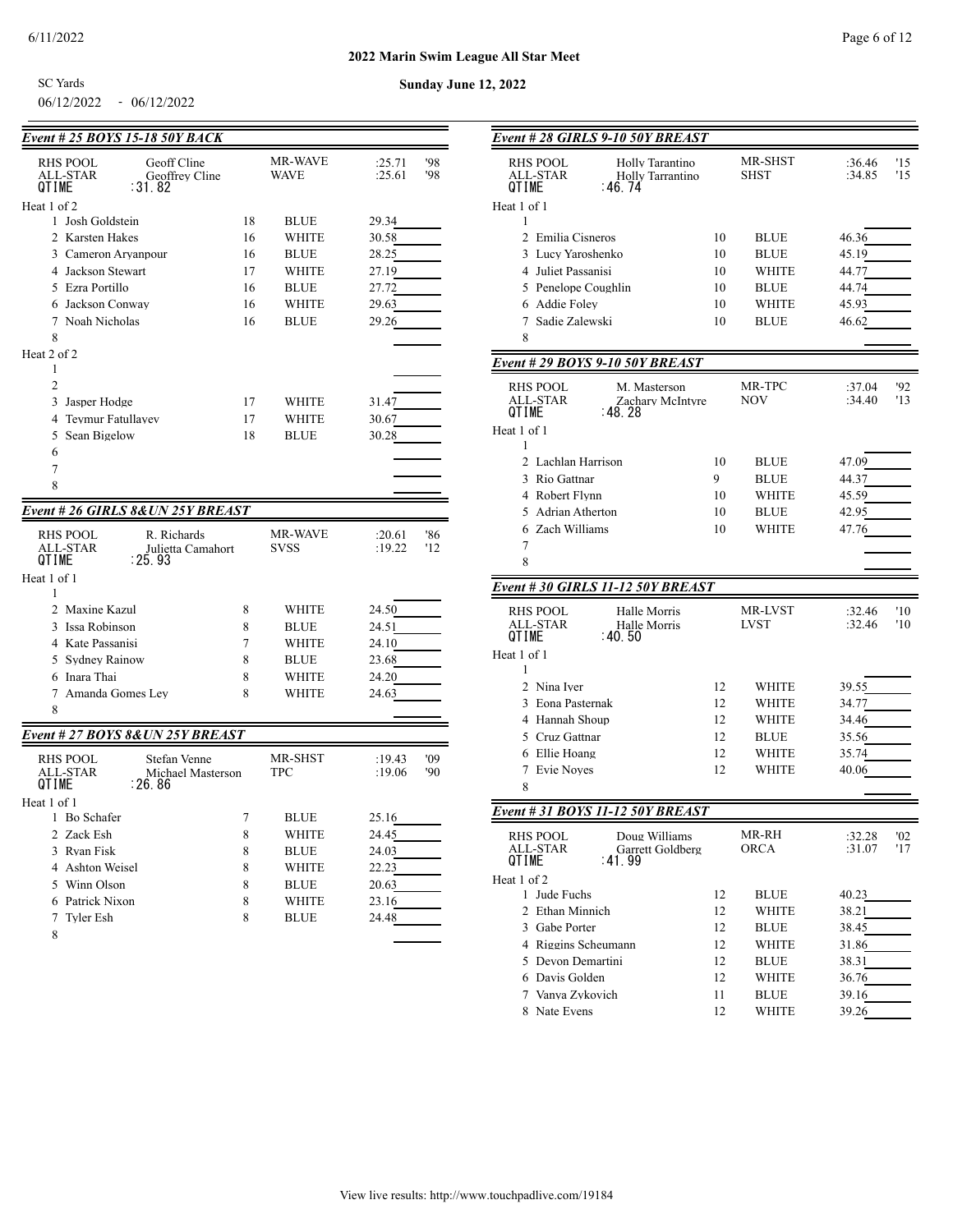$\sim$   $\sim$   $\sim$ 

06/12/2022 - 06/12/2022 SC Yards

| Event # 25 BOYS 15-18 50Y BACK  |                                   |    |                |        |     |
|---------------------------------|-----------------------------------|----|----------------|--------|-----|
| RHS POOL                        | Geoff Cline                       |    | MR-WAVE        | :25.71 | '98 |
| ALL-STAR                        | Geoffrey Cline                    |    | WAVE           | :25.61 | '98 |
| <b>QTIME</b>                    | : 31.82                           |    |                |        |     |
| Heat 1 of 2<br>1 Josh Goldstein |                                   | 18 |                |        |     |
|                                 |                                   |    | BLUE           | 29.34  |     |
| 2 Karsten Hakes                 |                                   | 16 | <b>WHITE</b>   | 30.58  |     |
| 3 Cameron Aryanpour             |                                   | 16 | <b>BLUE</b>    | 28.25  |     |
| 4 Jackson Stewart               |                                   | 17 | WHITE          | 27.19  |     |
| 5 Ezra Portillo                 |                                   | 16 | <b>BLUE</b>    | 27.72  |     |
| 6 Jackson Conway                |                                   | 16 | WHITE          | 29.63  |     |
| 7 Noah Nicholas                 |                                   | 16 | <b>BLUE</b>    | 29.26  |     |
| 8<br>Heat 2 of 2                |                                   |    |                |        |     |
| 1                               |                                   |    |                |        |     |
| $\overline{2}$                  |                                   |    |                |        |     |
| 3<br>Jasper Hodge               |                                   | 17 | WHITE          | 31.47  |     |
| Teymur Fatullayev<br>4          |                                   | 17 | WHITE          | 30.67  |     |
| Sean Bigelow<br>5               |                                   | 18 | <b>BLUE</b>    | 30.28  |     |
| 6                               |                                   |    |                |        |     |
| 7                               |                                   |    |                |        |     |
| 8                               |                                   |    |                |        |     |
|                                 |                                   |    |                |        |     |
|                                 | Event # 26 GIRLS 8& UN 25Y BREAST |    |                |        |     |
| RHS POOL                        | R. Richards                       |    | <b>MR-WAVE</b> | :20.61 | '86 |
| ALL-STAR                        | Julietta Camahort                 |    | <b>SVSS</b>    | :19.22 | '12 |
| QTIME                           | : 25.93                           |    |                |        |     |
| Heat 1 of 1                     |                                   |    |                |        |     |
| 1                               |                                   |    |                |        |     |
| 2 Maxine Kazul                  |                                   | 8  | WHITE          | 24.50  |     |
| 3 Issa Robinson                 |                                   | 8  | <b>BLUE</b>    | 24.51  |     |
| 4 Kate Passanisi                |                                   | 7  | <b>WHITE</b>   | 24.10  |     |
| 5 Sydney Rainow                 |                                   | 8  | <b>BLUE</b>    | 23.68  |     |
| 6 Inara Thai                    |                                   | 8  | <b>WHITE</b>   | 24.20  |     |
| Amanda Gomes Lev<br>7           |                                   | 8  | <b>WHITE</b>   | 24.63  |     |
| 8                               |                                   |    |                |        |     |
|                                 | Event # 27 BOYS 8&UN 25Y BREAST   |    |                |        |     |
| <b>RHS POOL</b>                 | Stefan Venne                      |    | MR-SHST        | :19.43 | '09 |
| <b>ALL-STAR</b>                 | Michael Masterson                 |    | <b>TPC</b>     | :19.06 | '90 |
| QTIME                           | ∶26.86                            |    |                |        |     |
| Heat 1 of 1                     |                                   |    |                |        |     |
| 1 Bo Schafer                    |                                   | 7  | <b>BLUE</b>    | 25.16  |     |
| 2 Zack Esh                      |                                   | 8  | <b>WHITE</b>   | 24.45  |     |
| 3 Rvan Fisk                     |                                   | 8  | <b>BLUE</b>    | 24.03  |     |
| 4 Ashton Weisel                 |                                   | 8  | <b>WHITE</b>   | 22.23  |     |
| 5 Winn Olson                    |                                   | 8  | <b>BLUE</b>    | 20.63  |     |
| 6 Patrick Nixon                 |                                   | 8  | <b>WHITE</b>   | 23.16  |     |
| 7 Tyler Esh                     |                                   | 8  | <b>BLUE</b>    | 24.48  |     |
| 8                               |                                   |    |                |        |     |

| Event # 28 GIRLS 9-10 50Y BREAST                                                        |          |                               |                                |
|-----------------------------------------------------------------------------------------|----------|-------------------------------|--------------------------------|
| <b>RHS POOL</b><br>Holly Tarantino<br>ALL-STAR<br>Holly Tarrantino<br>QTIME<br>: 46. 74 |          | <b>MR-SHST</b><br><b>SHST</b> | :36.46<br>'15<br>:34.85<br>'15 |
| Heat 1 of 1                                                                             |          |                               |                                |
| 1                                                                                       |          |                               |                                |
| 2 Emilia Cisneros                                                                       | 10       | <b>BLUE</b>                   | 46.36                          |
| 3 Lucy Yaroshenko                                                                       | 10       | <b>BLUE</b>                   | 45.19                          |
| 4 Juliet Passanisi                                                                      | 10       | WHITE                         | 44.77                          |
| 5 Penelope Coughlin                                                                     | 10       | <b>BLUE</b>                   | 44.74                          |
| 6 Addie Folev<br>7 Sadie Zalewski                                                       | 10<br>10 | WHITE<br><b>BLUE</b>          | 45.93<br>46.62                 |
| 8                                                                                       |          |                               |                                |
|                                                                                         |          |                               |                                |
| Event # 29 BOYS 9-10 50Y BREAST                                                         |          |                               |                                |
| <b>RHS POOL</b><br>M. Masterson<br>ALL-STAR<br>Zachary McIntyre<br>QTIME<br>: 48. 28    |          | MR-TPC<br>NOV                 | :37.04<br>'92<br>:34.40<br>'13 |
| Heat 1 of 1<br>1                                                                        |          |                               |                                |
| 2 Lachlan Harrison                                                                      | 10       | <b>BLUE</b>                   | 47.09                          |
| 3 Rio Gattnar                                                                           | 9        | <b>BLUE</b>                   | 44.37                          |
| 4 Robert Flynn                                                                          | 10       | WHITE                         | 45.59                          |
| 5 Adrian Atherton                                                                       | 10       | <b>BLUE</b>                   | 42.95                          |
| 6 Zach Williams                                                                         | 10       | WHITE                         | 47.76                          |
| 7                                                                                       |          |                               |                                |
| 8                                                                                       |          |                               |                                |
| Event # 30 GIRLS 11-12 50Y BREAST                                                       |          |                               |                                |
| <b>RHS POOL</b><br>Halle Morris<br><b>ALL-STAR</b><br>Halle Morris<br>QTIME<br>: 40.50  |          | MR-LVST<br><b>LVST</b>        | :32.46<br>'10<br>:32.46<br>'10 |
| Heat 1 of 1<br>1                                                                        |          |                               |                                |
| 2 Nina Iver                                                                             | 12       | WHITE                         | 39.55                          |
| 3 Eona Pasternak                                                                        | 12       | WHITE                         | 34.77                          |
| 4 Hannah Shoup                                                                          | 12       | WHITE                         | 34.46                          |
| 5 Cruz Gattnar                                                                          | 12       | <b>BLUE</b>                   | 35.56                          |
| 6 Ellie Hoang                                                                           | 12       | WHITE                         | 35.74                          |
| 7 Evie Noves                                                                            | 12       | WHITE                         | 40.06                          |
| 8                                                                                       |          |                               |                                |
| Event # 31 BOYS 11-12 50Y BREAST                                                        |          |                               |                                |
| RHS POOL<br>Doug Williams<br>ALL-STAR<br>Garrett Goldberg<br>QTIME<br>: 41.99           |          | MR-RH<br><b>ORCA</b>          | '02<br>:32.28<br>'17<br>:31.07 |
| Heat 1 of 2                                                                             |          |                               |                                |
| 1 Jude Fuchs                                                                            | 12       | <b>BLUE</b>                   | 40.23                          |
| 2 Ethan Minnich                                                                         | 12       | WHITE                         | 38.21                          |
| 3 Gabe Porter                                                                           | 12       | <b>BLUE</b>                   | 38.45                          |
| 4 Riggins Scheumann                                                                     | 12       | WHITE                         | 31.86                          |
| 5 Devon Demartini                                                                       | 12       | <b>BLUE</b>                   | 38.31                          |
| 6 Davis Golden                                                                          | 12       | WHITE                         | 36.76                          |
| 7 Vanya Zykovich                                                                        | 11       | <b>BLUE</b>                   | 39.16                          |
| 8 Nate Evens                                                                            | 12       | WHITE                         | 39.26                          |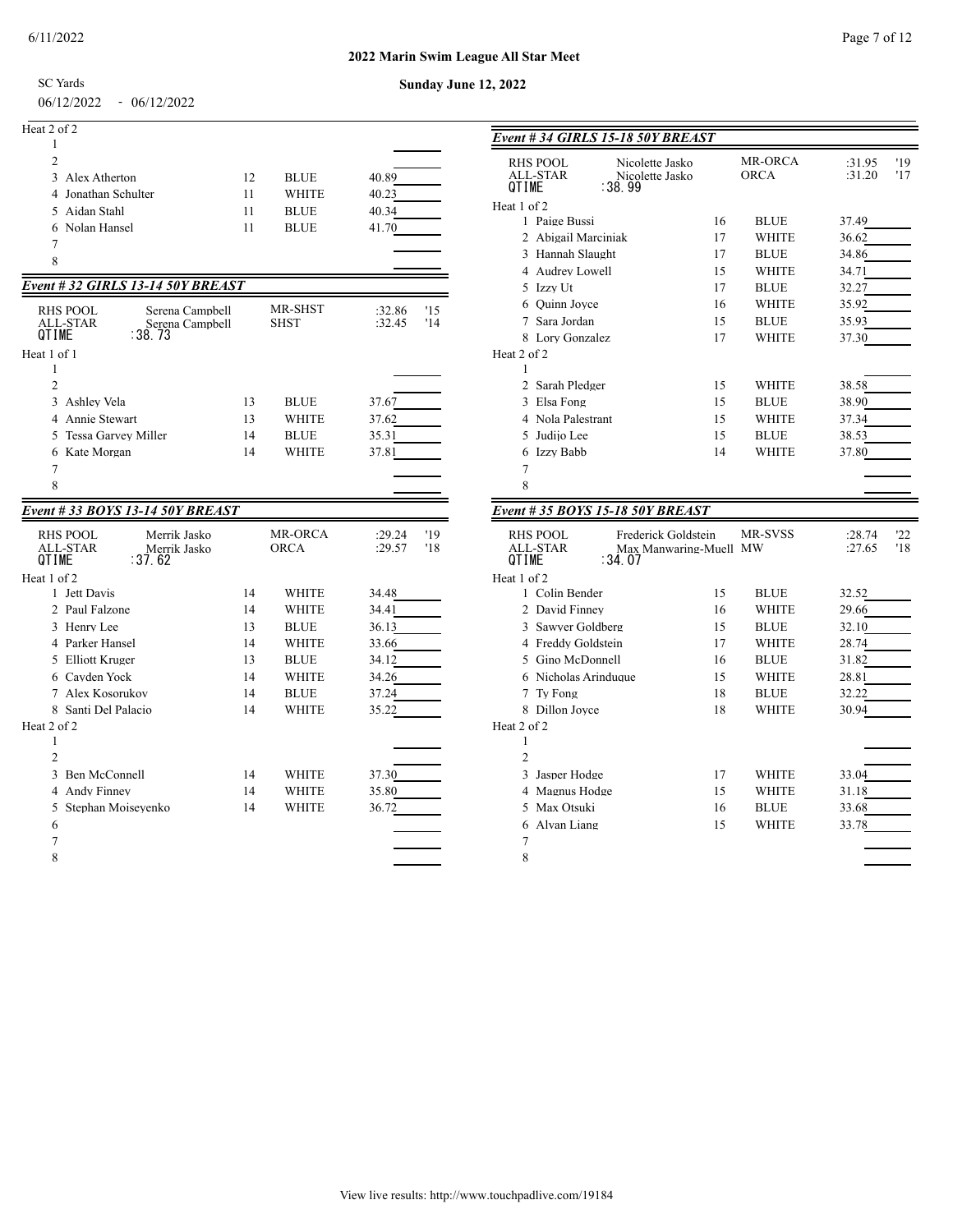#### **2022 Marin Swim League All Star Meet**

SC Yards

#### 06/12/2022 - 06/12/2022

| Heat 2 of 2         |    |              |       |
|---------------------|----|--------------|-------|
|                     |    |              |       |
| 2                   |    |              |       |
| 3 Alex Atherton     | 12 | <b>BLUE</b>  | 40.89 |
| 4 Jonathan Schulter | 11 | <b>WHITE</b> | 40.23 |
| 5 Aidan Stahl       | 11 | <b>BLUE</b>  | 40.34 |
| 6 Nolan Hansel      | 11 | <b>BLUE</b>  | 41.70 |
|                     |    |              |       |
| 8                   |    |              |       |

### *Event # 32 GIRLS 13-14 50Y BREAST*

| RHS POOL<br>ALL-STAR<br>QTIME | Serena Campbell<br>Serena Campbell<br>:38.73 |    | <b>MR-SHST</b><br><b>SHST</b> | 15<br>:32.86<br>:32.45<br>'14 |
|-------------------------------|----------------------------------------------|----|-------------------------------|-------------------------------|
| Heat 1 of 1                   |                                              |    |                               |                               |
|                               |                                              |    |                               |                               |
| 2                             |                                              |    |                               |                               |
| Ashlev Vela<br>3              |                                              | 13 | <b>BLUE</b>                   | 37.67                         |
| 4 Annie Stewart               |                                              | 13 | <b>WHITE</b>                  | 37.62                         |
| 5 Tessa Garvey Miller         |                                              | 14 | <b>BLUE</b>                   | 35.31                         |
| 6 Kate Morgan                 |                                              | 14 | <b>WHITE</b>                  | 37.81                         |
| 7                             |                                              |    |                               |                               |
| 8                             |                                              |    |                               |                               |

### *Event # 33 BOYS 13-14 50Y BREAST*

| <b>RHS POOL</b><br>Merrik Jasko<br>ALL-STAR<br>Merrik Jasko<br>OTIMF<br>:37.62 |    | <b>MR-ORCA</b><br><b>ORCA</b> | '19<br>:29.24<br>:29.57<br>'18 |
|--------------------------------------------------------------------------------|----|-------------------------------|--------------------------------|
| Heat 1 of 2                                                                    |    |                               |                                |
| 1 Jett Davis                                                                   | 14 | <b>WHITE</b>                  | 34.48                          |
| Paul Falzone<br>$\mathfrak{D}$                                                 | 14 | <b>WHITE</b>                  | 34.41                          |
| Henry Lee<br>3                                                                 | 13 | <b>BLUE</b>                   | 36.13                          |
| Parker Hansel<br>4                                                             | 14 | <b>WHITE</b>                  | 33.66                          |
| <b>Elliott Kruger</b><br>5                                                     | 13 | <b>BLUE</b>                   | 34.12                          |
| Cayden Yock<br>6                                                               | 14 | WHITE                         | 34.26                          |
| Alex Kosorukov<br>7                                                            | 14 | <b>BLUE</b>                   | 37.24                          |
| Santi Del Palacio<br>8                                                         | 14 | WHITE                         | 35.22                          |
| Heat 2 of 2                                                                    |    |                               |                                |
| 1                                                                              |    |                               |                                |
| $\overline{c}$                                                                 |    |                               |                                |
| Ben McConnell<br>$\mathbf{3}$                                                  | 14 | <b>WHITE</b>                  | 37.30                          |
| Andy Finney<br>4                                                               | 14 | WHITE                         | 35.80                          |
| Stephan Moisevenko<br>5                                                        | 14 | WHITE                         | 36.72                          |
| 6                                                                              |    |                               |                                |
| 7                                                                              |    |                               |                                |
| 8                                                                              |    |                               |                                |
|                                                                                |    |                               |                                |

# **Sunday June 12, 2022**

| Event # 34 GIRLS 15-18 50Y BREAST                                                                              |    |                        |                  |            |
|----------------------------------------------------------------------------------------------------------------|----|------------------------|------------------|------------|
| <b>RHS POOL</b><br>Nicolette Jasko<br>ALL-STAR<br>Nicolette Jasko<br><b>OTIME</b><br>∶38.99                    |    | MR-ORCA<br><b>ORCA</b> | :31.95<br>:31.20 | '19<br>'17 |
| Heat 1 of 2                                                                                                    |    |                        |                  |            |
| 1 Paige Bussi                                                                                                  | 16 | <b>BLUE</b>            | 37.49            |            |
| 2 Abigail Marciniak                                                                                            | 17 | <b>WHITE</b>           | 36.62            |            |
| 3 Hannah Slaught                                                                                               | 17 | <b>BLUE</b>            | 34.86            |            |
| 4 Audrey Lowell                                                                                                | 15 | <b>WHITE</b>           | 34.71            |            |
| 5 Izzv Ut                                                                                                      | 17 | <b>BLUE</b>            | 32.27            |            |
| 6 Ouinn Joyce                                                                                                  | 16 | <b>WHITE</b>           | 35.92            |            |
| Sara Jordan<br>7                                                                                               | 15 | <b>BLUE</b>            | 35.93            |            |
| Lory Gonzalez<br>8                                                                                             | 17 | <b>WHITE</b>           | 37.30            |            |
| Heat 2 of 2                                                                                                    |    |                        |                  |            |
| 1                                                                                                              |    |                        |                  |            |
| Sarah Pledger<br>$\mathfrak{D}$                                                                                | 15 | <b>WHITE</b>           | 38.58            |            |
| 3 Elsa Fong                                                                                                    | 15 | <b>BLUE</b>            | 38.90            |            |
| 4 Nola Palestrant                                                                                              | 15 | <b>WHITE</b>           | 37.34            |            |
| Judiio Lee<br>5                                                                                                | 15 | <b>BLUE</b>            | 38.53            |            |
| Izzv Babb<br>6                                                                                                 | 14 | <b>WHITE</b>           | 37.80            |            |
| $\overline{7}$                                                                                                 |    |                        |                  |            |
| 8                                                                                                              |    |                        |                  |            |
| Event # 35 BOYS 15-18 50Y BREAST                                                                               |    |                        |                  |            |
|                                                                                                                |    |                        |                  |            |
| <b>RHS POOL</b><br>Frederick Goldstein<br><b>ALL-STAR</b><br>Max Manwaring-Muell MW<br><b>QTIME</b><br>: 34.07 |    | MR-SVSS                | :28.74<br>:27.65 | 22<br>'18  |
| Heat 1 of 2                                                                                                    |    |                        |                  |            |
| 1 Colin Bender                                                                                                 | 15 | <b>BLUE</b>            | 32.52            |            |
| 2 David Finney                                                                                                 | 16 | <b>WHITE</b>           | 29.66            |            |
| Sawyer Goldberg<br>3                                                                                           | 15 | <b>BLUE</b>            | 32.10            |            |
| 4 Freddy Goldstein                                                                                             | 17 | <b>WHITE</b>           | 28.74            |            |
| 5 Gino McDonnell                                                                                               | 16 | <b>BLUE</b>            | 31.82            |            |

 Nicholas Arinduque 15 WHITE 28.81 Ty Fong 18 BLUE 32.22 8 Dillon Joyce 18 WHITE 30.94

  $2 \left( \frac{1}{2} \right)$ 3 Jasper Hodge 17 WHITE 33.04 4 Magnus Hodge 15 WHITE 31.18 5 Max Otsuki 16 BLUE 33.68 Alvan Liang 15 WHITE 33.78  $7\overline{ }$ 

### View live results: http://www.touchpadlive.com/19184

Heat 2 of 2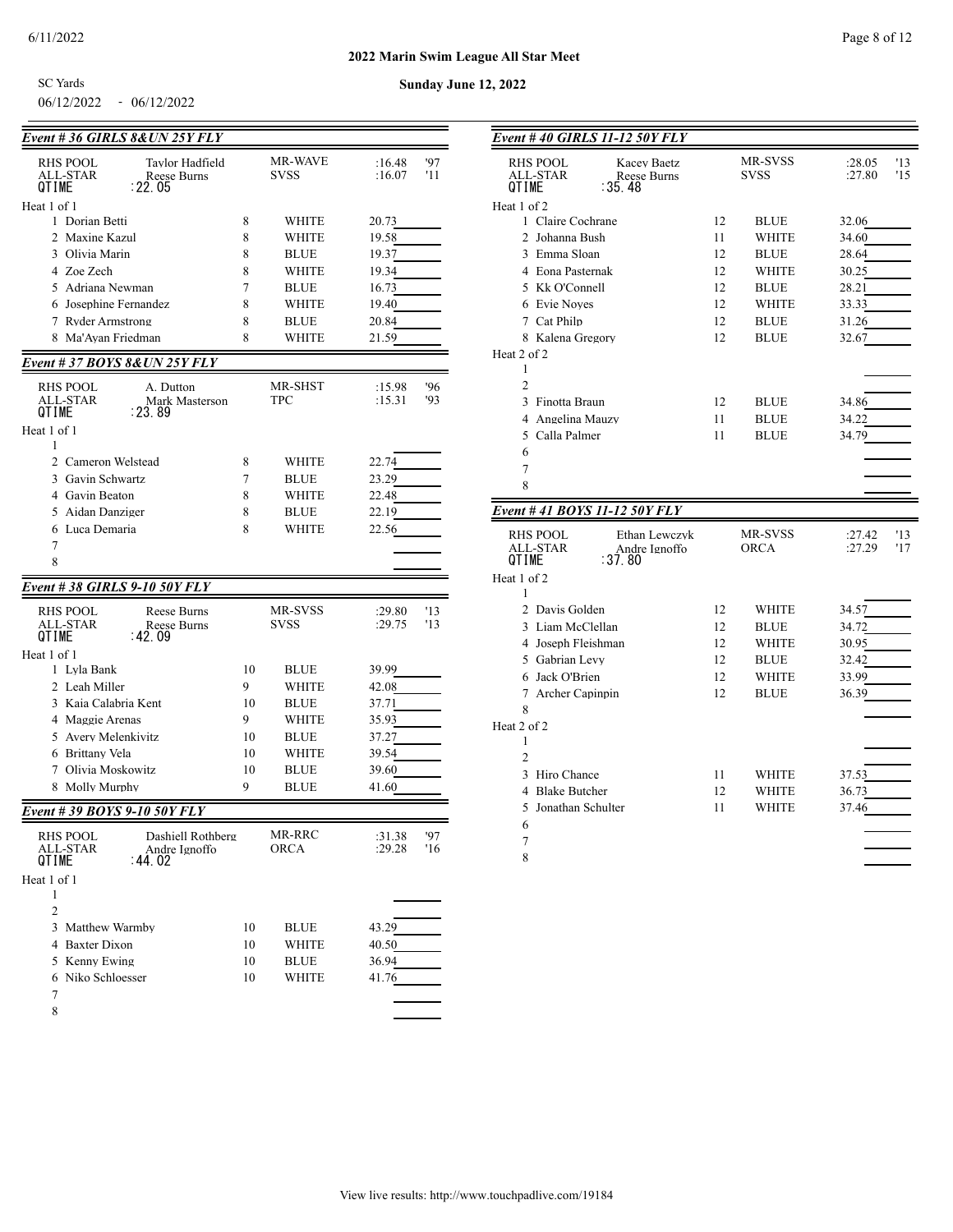**Sunday June 12, 2022**

06/12/2022 - 06/12/2022 SC Yards

| Event # 36 GIRLS 8& UN 25Y FLY                                                    |    |                               |                  |            |
|-----------------------------------------------------------------------------------|----|-------------------------------|------------------|------------|
| Tavlor Hadfield<br>RHS POOL<br>ALL-STAR<br><b>Reese Burns</b><br>: 22.05<br>QTIME |    | <b>MR-WAVE</b><br><b>SVSS</b> | :16.48<br>:16.07 | '97<br>'11 |
| Heat 1 of 1                                                                       |    |                               |                  |            |
| 1 Dorian Betti                                                                    | 8  | WHITE                         | 20.73            |            |
| 2 Maxine Kazul                                                                    | 8  | WHITE                         | 19.58            |            |
| 3 Olivia Marin                                                                    | 8  | <b>BLUE</b>                   | 19.37            |            |
| 4 Zoe Zech                                                                        | 8  | WHITE                         | 19.34            |            |
| 5 Adriana Newman                                                                  | 7  | <b>BLUE</b>                   | 16.73            |            |
| 6 Josephine Fernandez                                                             | 8  | WHITE                         | 19.40            |            |
| 7 Ryder Armstrong                                                                 | 8  | <b>BLUE</b>                   | 20.84            |            |
| 8 Ma'Ayan Friedman                                                                | 8  | WHITE                         | 21.59            |            |
| <b>Event #37 BOYS 8&amp; UN 25Y FLY</b>                                           |    |                               |                  |            |
| RHS POOL<br>A. Dutton<br>ALL-STAR<br>Mark Masterson<br>: 23.89<br>QTIME           |    | MR-SHST<br>TPC                | :15.98<br>:15.31 | '96<br>'93 |
| Heat 1 of 1                                                                       |    |                               |                  |            |
| 1                                                                                 |    |                               |                  |            |
| 2 Cameron Welstead                                                                | 8  | WHITE                         | 22.74            |            |
| 3 Gavin Schwartz                                                                  | 7  | <b>BLUE</b>                   | 23.29            |            |
| 4 Gavin Beaton                                                                    | 8  | WHITE                         | 22.48            |            |
| 5 Aidan Danziger                                                                  | 8  | <b>BLUE</b>                   | 22.19            |            |
| 6 Luca Demaria                                                                    | 8  | WHITE                         | 22.56            |            |
| 7<br>8                                                                            |    |                               |                  |            |
|                                                                                   |    |                               |                  |            |
| Event # 38 GIRLS 9-10 50Y FLY                                                     |    |                               |                  |            |
| RHS POOL<br>Reese Burns<br>ALL-STAR<br>Reese Burns<br>∶42.09<br>QTIME             |    | MR-SVSS<br><b>SVSS</b>        | :29.80<br>:29.75 | '13<br>'13 |
| Heat 1 of 1                                                                       |    |                               |                  |            |
| 1 Lyla Bank                                                                       | 10 | BLUE                          | 39.99            |            |
| 2 Leah Miller                                                                     | 9  | WHITE                         | 42.08            |            |
| 3 Kaia Calabria Kent                                                              | 10 | <b>BLUE</b>                   | 37.71            |            |
| 4 Maggie Arenas                                                                   | 9  | WHITE                         | 35.93            |            |
| 5 Avery Melenkivitz                                                               | 10 | <b>BLUE</b>                   | 37.27            |            |
| 6 Brittany Vela                                                                   | 10 | WHITE                         | 39.54            |            |
| 7 Olivia Moskowitz                                                                | 10 | <b>BLUE</b>                   | 39.60            |            |
| 8 Molly Murphy                                                                    | 9  | <b>BLUE</b>                   | 41.60            |            |
| Event # 39 BOYS 9-10 50Y FLY                                                      |    |                               |                  |            |
| RHS POOL<br>Dashiell Rothberg<br>ALL-STAR<br>Andre Ignoffo<br>: 44. 02<br>QTIME   |    | MR-RRC<br>ORCA                | :31.38<br>:29.28 | '97<br>'16 |
| Heat 1 of 1                                                                       |    |                               |                  |            |
| 1                                                                                 |    |                               |                  |            |
| $\overline{c}$                                                                    |    |                               |                  |            |
| 3 Matthew Warmby                                                                  | 10 | BLUE                          | 43.29            |            |
| 4 Baxter Dixon                                                                    | 10 | WHITE                         | 40.50            |            |
| 5 Kenny Ewing                                                                     | 10 | <b>BLUE</b>                   | 36.94            |            |
| 6 Niko Schloesser                                                                 | 10 | WHITE                         | 41.76            |            |
| 7                                                                                 |    |                               |                  |            |
| 8                                                                                 |    |                               |                  |            |

| Event #40 GIRLS 11-12 50Y FLY                                                |    |                        |                                |
|------------------------------------------------------------------------------|----|------------------------|--------------------------------|
| <b>RHS POOL</b><br>Kacev Baetz<br>ALL-STAR<br>Reese Burns<br>QTIME<br>∶35.48 |    | MR-SVSS<br><b>SVSS</b> | '13<br>:28.05<br>:27.80<br>'15 |
| Heat 1 of 2                                                                  |    |                        |                                |
| 1 Claire Cochrane                                                            | 12 | <b>BLUE</b>            | 32.06                          |
| 2 Johanna Bush                                                               | 11 | <b>WHITE</b>           | 34.60                          |
| 3 Emma Sloan                                                                 | 12 | <b>BLUE</b>            | 28.64                          |
| 4 Eona Pasternak                                                             | 12 | WHITE                  | 30.25                          |
| 5 Kk O'Connell                                                               | 12 | <b>BLUE</b>            | 28.21                          |
| 6 Evie Noves                                                                 | 12 | <b>WHITE</b>           | 33.33                          |
| 7 Cat Philp                                                                  | 12 | <b>BLUE</b>            | 31.26                          |
| 8 Kalena Gregory                                                             | 12 | <b>BLUE</b>            | 32.67                          |
| Heat 2 of 2                                                                  |    |                        |                                |
| 1                                                                            |    |                        |                                |
| $\overline{2}$                                                               |    |                        |                                |
| 3<br>Finotta Braun                                                           | 12 | <b>BLUE</b>            | 34.86                          |
| 4 Angelina Mauzy                                                             | 11 | <b>BLUE</b>            | 34.22                          |
| 5 Calla Palmer                                                               | 11 | <b>BLUE</b>            | 34.79                          |
| 6                                                                            |    |                        |                                |
| 7                                                                            |    |                        |                                |
| 8                                                                            |    |                        |                                |
| Event # 41 BOYS 11-12 50Y FLY                                                |    |                        |                                |
|                                                                              |    |                        |                                |
| <b>RHS POOL</b><br>Ethan Lewczyk<br><b>ALL-STAR</b><br>Andre Ignoffo         |    | MR-SVSS<br><b>ORCA</b> | :27.42<br>'13<br>'17<br>:27.29 |
| ∶37.80<br>QTIME                                                              |    |                        |                                |
| Heat 1 of 2<br>1                                                             |    |                        |                                |
| 2 Davis Golden                                                               | 12 | <b>WHITE</b>           | 34.57                          |
| 3 Liam McClellan                                                             | 12 | <b>BLUE</b>            | 34.72                          |
| 4 Joseph Fleishman                                                           | 12 | <b>WHITE</b>           | 30.95                          |
| 5 Gabrian Levy                                                               | 12 | <b>BLUE</b>            | 32.42                          |
| 6 Jack O'Brien                                                               | 12 | <b>WHITE</b>           | 33.99                          |
| Archer Capinpin<br>7                                                         | 12 | <b>BLUE</b>            | 36.39                          |
| 8                                                                            |    |                        |                                |
| Heat 2 of 2                                                                  |    |                        |                                |
| 1<br>$\overline{2}$                                                          |    |                        |                                |
|                                                                              |    |                        |                                |
| 3 Hiro Chance                                                                | 11 | <b>WHITE</b>           | 37.53                          |
| 4 Blake Butcher                                                              | 12 | WHITE                  | 36.73                          |
| Jonathan Schulter<br>5.                                                      | 11 | <b>WHITE</b>           | 37.46                          |
| 6                                                                            |    |                        |                                |
| 7                                                                            |    |                        |                                |
| 8                                                                            |    |                        |                                |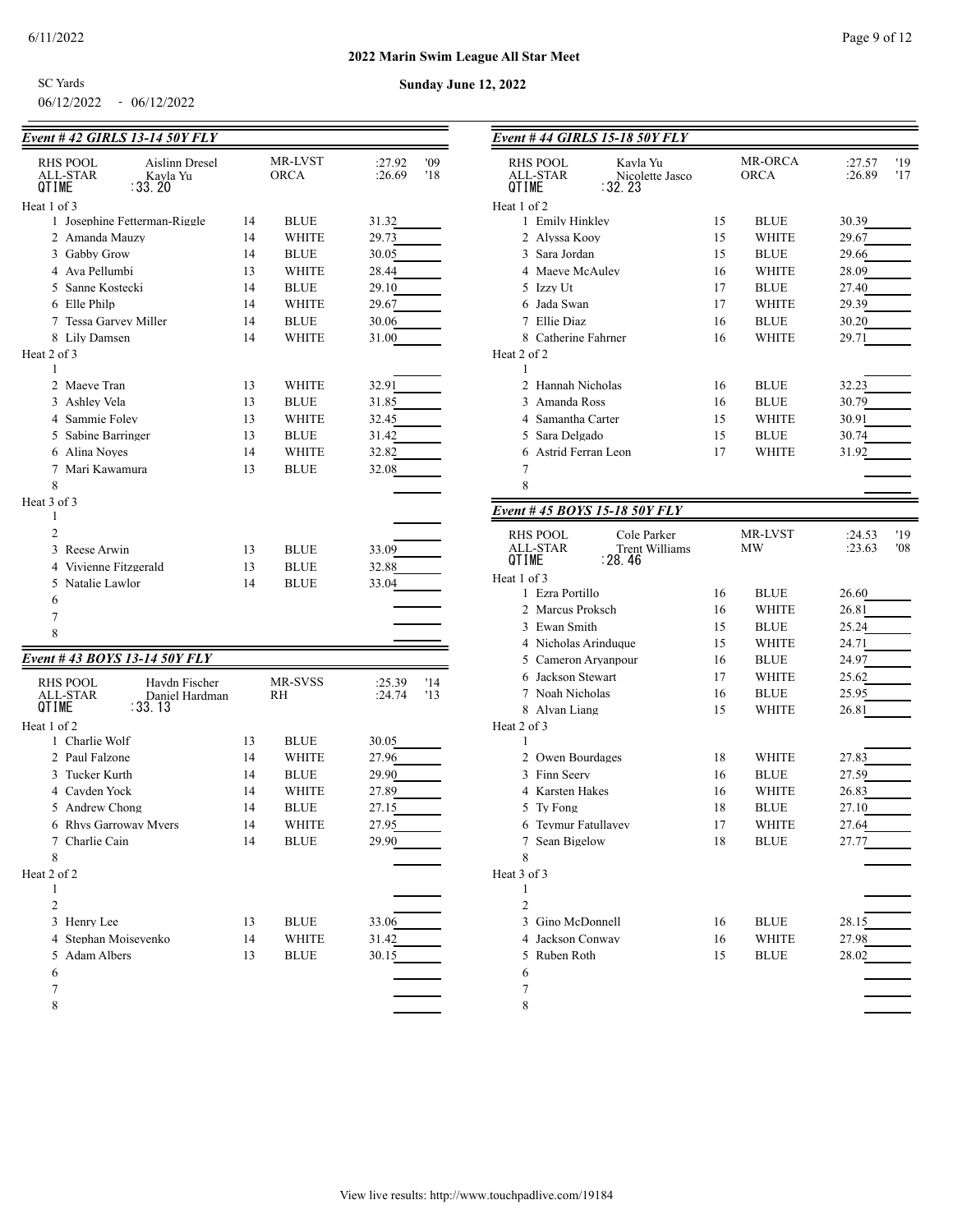**Sunday June 12, 2022**

06/12/2022 - 06/12/2022 SC Yards

# *Event # 42 GIRLS 13-14 50Y FLY*

| <u>Event # 42 GIRLS 13-14 30Y FLY</u>                                               |          |                        |                                |
|-------------------------------------------------------------------------------------|----------|------------------------|--------------------------------|
| <b>RHS POOL</b><br>Aislinn Dresel<br>ALL-STAR<br>Kayla Yu<br>QTIME<br>∶33. 20       |          | MR-LVST<br><b>ORCA</b> | '09<br>:27.92<br>:26.69<br>'18 |
|                                                                                     |          |                        |                                |
| Heat 1 of 3<br>1 Josephine Fetterman-Riggle                                         | 14       |                        |                                |
|                                                                                     |          | <b>BLUE</b>            | 31.32                          |
| 2 Amanda Mauzy<br>3 Gabby Grow                                                      | 14<br>14 | WHITE                  | 29.73                          |
|                                                                                     |          | <b>BLUE</b>            | 30.05                          |
| 4 Ava Pellumbi                                                                      | 13       | WHITE                  | 28.44                          |
| 5 Sanne Kostecki                                                                    | 14       | <b>BLUE</b>            | 29.10                          |
| 6 Elle Philp                                                                        | 14       | WHITE                  | 29.67                          |
| 7 Tessa Garvey Miller                                                               | 14       | <b>BLUE</b>            | 30.06                          |
| 8 Lily Damsen                                                                       | 14       | WHITE                  | 31.00                          |
| Heat 2 of 3                                                                         |          |                        |                                |
| 1                                                                                   |          |                        |                                |
| 2 Maeve Tran                                                                        | 13       | WHITE                  | 32.91                          |
| 3 Ashley Vela                                                                       | 13       | <b>BLUE</b>            | 31.85                          |
| 4 Sammie Foley                                                                      | 13       | WHITE                  | 32.45                          |
| 5 Sabine Barringer                                                                  | 13       | <b>BLUE</b>            | 31.42                          |
| 6 Alina Noves                                                                       | 14       | WHITE                  | 32.82                          |
| 7 Mari Kawamura                                                                     | 13       | <b>BLUE</b>            | 32.08                          |
| 8                                                                                   |          |                        |                                |
| Heat 3 of 3                                                                         |          |                        |                                |
| 1                                                                                   |          |                        |                                |
| $\overline{c}$                                                                      |          |                        |                                |
| 3 Reese Arwin                                                                       | 13       | <b>BLUE</b>            | 33.09                          |
| 4 Vivienne Fitzgerald                                                               | 13       | <b>BLUE</b>            | 32.88                          |
| 5 Natalie Lawlor                                                                    | 14       | <b>BLUE</b>            | 33.04                          |
| 6                                                                                   |          |                        |                                |
| 7                                                                                   |          |                        |                                |
| 8                                                                                   |          |                        |                                |
| Event # 43 BOYS 13-14 50Y FLY                                                       |          |                        |                                |
| <b>RHS POOL</b><br>Haydn Fischer<br>ALL-STAR<br>Daniel Hardman<br>QTIME<br>: 33. 13 |          | MR-SVSS<br>RH          | '14<br>:25.39<br>:24.74<br>'13 |
| Heat 1 of 2                                                                         |          |                        |                                |
| 1 Charlie Wolf                                                                      | 13       | <b>BLUE</b>            | 30.05                          |
| 2 Paul Falzone                                                                      | 14       | WHITE                  | 27.96                          |
| 3 Tucker Kurth                                                                      | 14       | <b>BLUE</b>            | 29.90                          |
| 4 Cavden Yock                                                                       | 14       | <b>WHITE</b>           | 27.89                          |
| 5 Andrew Chong                                                                      | 14       | <b>BLUE</b>            | 27.15                          |
| 6 Rhys Garroway Myers                                                               | 14       | WHITE                  | 27.95                          |
| 7 Charlie Cain                                                                      | 14       | <b>BLUE</b>            | 29.90                          |
| 8                                                                                   |          |                        |                                |
| Heat 2 of 2                                                                         |          |                        |                                |
| 1                                                                                   |          |                        |                                |
| $\overline{c}$                                                                      |          |                        |                                |
| 3 Henry Lee                                                                         | 13       | <b>BLUE</b>            | 33.06                          |
| 4 Stephan Moiseyenko                                                                | 14       | WHITE                  | 31.42                          |
| 5 Adam Albers                                                                       | 13       | <b>BLUE</b>            | 30.15                          |
| 6                                                                                   |          |                        |                                |
| 7                                                                                   |          |                        |                                |
| 8                                                                                   |          |                        |                                |
|                                                                                     |          |                        |                                |

| Event #44 GIRLS 15-18 50Y FLY                                                          |    |                               |                                |
|----------------------------------------------------------------------------------------|----|-------------------------------|--------------------------------|
| <b>RHS POOL</b><br>Kavla Yu<br><b>ALL-STAR</b><br>Nicolette Jasco<br>: 32. 23<br>QTIME |    | <b>MR-ORCA</b><br><b>ORCA</b> | '19<br>:27.57<br>:26.89<br>'17 |
| Heat 1 of 2                                                                            |    |                               |                                |
| 1 Emily Hinkley                                                                        | 15 | <b>BLUE</b>                   | 30.39                          |
| 2 Alvssa Koov                                                                          | 15 | WHITE                         | 29.67                          |
| 3 Sara Jordan                                                                          | 15 | <b>BLUE</b>                   | 29.66                          |
| 4 Maeve McAulev                                                                        | 16 | WHITE                         | 28.09                          |
| 5 Izzy Ut                                                                              | 17 | <b>BLUE</b>                   | 27.40                          |
| 6 Jada Swan                                                                            | 17 | WHITE                         | 29.39                          |
| 7 Ellie Diaz                                                                           | 16 | <b>BLUE</b>                   | 30.20                          |
| 8 Catherine Fahrner<br>Heat 2 of 2<br>1                                                | 16 | WHITE                         | 29.71                          |
| 2 Hannah Nicholas                                                                      | 16 | <b>BLUE</b>                   | 32.23                          |
| 3 Amanda Ross                                                                          | 16 | <b>BLUE</b>                   | 30.79                          |
| 4 Samantha Carter                                                                      | 15 | WHITE                         | 30.91                          |
| 5 Sara Delgado                                                                         | 15 | <b>BLUE</b>                   | 30.74                          |
| Astrid Ferran Leon<br>6                                                                | 17 | WHITE                         | 31.92                          |
| 7                                                                                      |    |                               |                                |
| 8                                                                                      |    |                               |                                |
| Event #45 BOYS 15-18 50Y FLY                                                           |    |                               |                                |
| <b>RHS POOL</b><br>Cole Parker<br>ALL-STAR<br><b>Trent Williams</b>                    |    | MR-LVST<br>MW                 | '19<br>:24.53<br>:23.63<br>'08 |
| OTIME<br>: 28.46                                                                       |    |                               |                                |
| Heat 1 of 3                                                                            |    |                               |                                |
| 1 Ezra Portillo                                                                        | 16 | <b>BLUE</b>                   | 26.60                          |
| 2 Marcus Proksch                                                                       | 16 | WHITE                         | 26.81                          |
| 3 Ewan Smith                                                                           | 15 | <b>BLUE</b>                   | 25.24                          |
| 4 Nicholas Arinduque                                                                   | 15 | WHITE                         | 24.71                          |
| 5 Cameron Aryanpour                                                                    | 16 | <b>BLUE</b>                   | 24.97                          |
| 6 Jackson Stewart                                                                      | 17 | WHITE                         | 25.62                          |
| 7 Noah Nicholas                                                                        | 16 | <b>BLUE</b>                   | 25.95                          |
| 8 Alvan Liang<br>Heat 2 of 3                                                           | 15 | WHITE                         | 26.81                          |
| 1                                                                                      |    |                               |                                |
| 2 Owen Bourdages                                                                       | 18 | WHITE                         | 27.83                          |
| 3 Finn Seerv                                                                           | 16 | <b>BLUE</b>                   | 27.59                          |
| 4 Karsten Hakes                                                                        | 16 | WHITE                         | 26.83                          |
| 5 Ty Fong                                                                              | 18 | <b>BLUE</b>                   | 27.10                          |
| Teymur Fatullayev<br>6                                                                 | 17 | WHITE                         | 27.64                          |
| Sean Bigelow<br>7                                                                      | 18 | <b>BLUE</b>                   | 27.77                          |
| 8                                                                                      |    |                               |                                |
| Heat 3 of 3                                                                            |    |                               |                                |
| 1                                                                                      |    |                               |                                |
| $\overline{2}$                                                                         |    |                               |                                |
| 3 Gino McDonnell                                                                       | 16 | <b>BLUE</b>                   | 28.15                          |
| 4 Jackson Conway                                                                       | 16 | <b>WHITE</b>                  | 27.98                          |
| 5<br>Ruben Roth                                                                        | 15 | <b>BLUE</b>                   | 28.02                          |
| 6<br>7                                                                                 |    |                               |                                |
| 8                                                                                      |    |                               |                                |
|                                                                                        |    |                               |                                |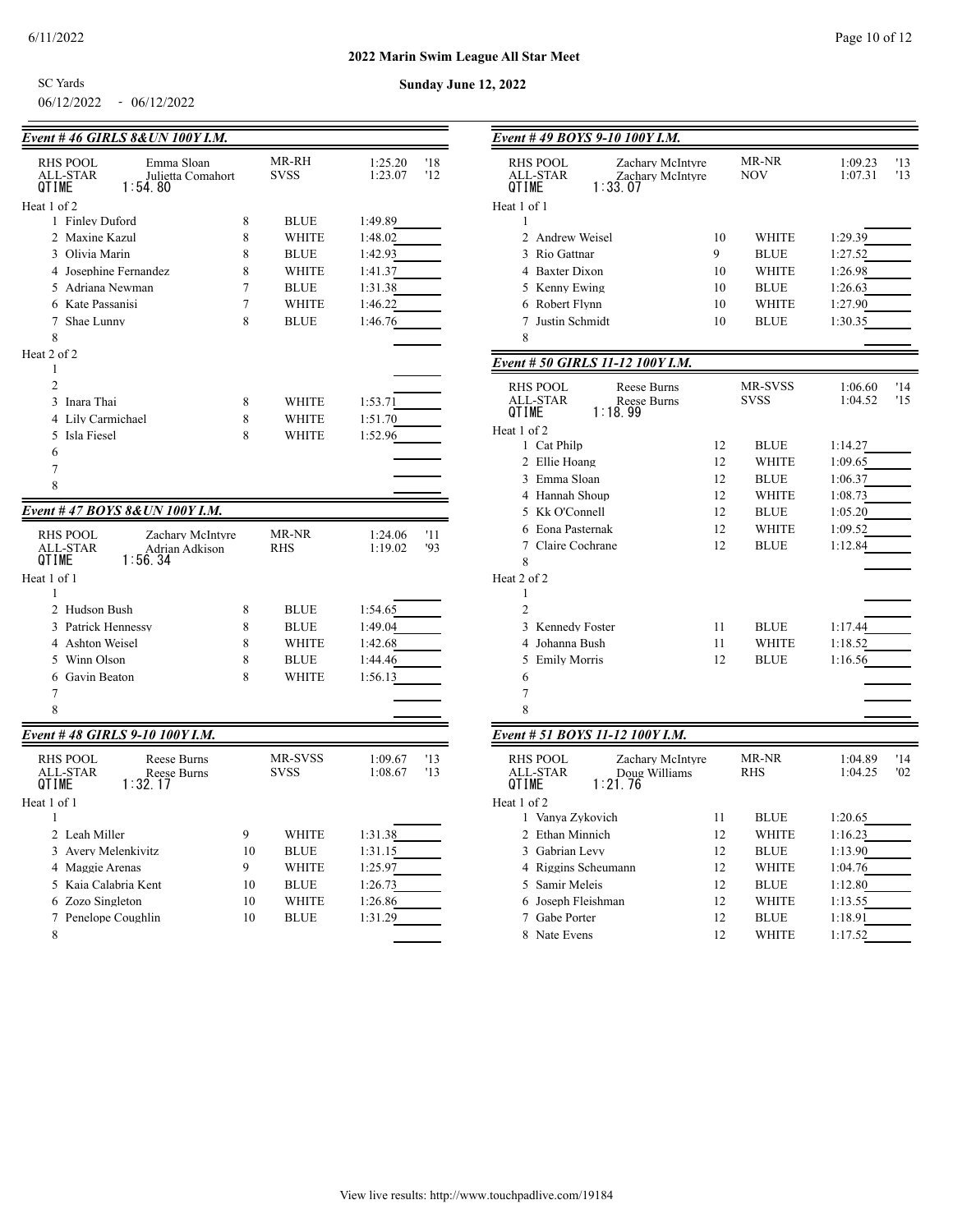06/12/2022 - 06/12/2022 SC Yards

| Event #46 GIRLS 8& UN 100Y I.M.                |    |              |                |
|------------------------------------------------|----|--------------|----------------|
| <b>RHS POOL</b><br>Emma Sloan                  |    | MR-RH        | 1:25.20<br>'18 |
| ALL-STAR<br>Julietta Comahort                  |    | <b>SVSS</b>  | '12<br>1:23.07 |
| 1:54.80<br>QTIME                               |    |              |                |
| Heat 1 of 2                                    |    |              |                |
| 1 Finley Duford                                | 8  | <b>BLUE</b>  | 1:49.89        |
| 2 Maxine Kazul                                 | 8  | WHITE        | 1:48.02        |
| 3 Olivia Marin                                 | 8  | <b>BLUE</b>  | 1:42.93        |
| 4 Josephine Fernandez                          | 8  | <b>WHITE</b> | 1:41.37        |
| 5 Adriana Newman                               | 7  | <b>BLUE</b>  | 1:31.38        |
| 6 Kate Passanisi                               | 7  | <b>WHITE</b> | 1:46.22        |
| 7 Shae Lunny                                   | 8  | <b>BLUE</b>  | 1:46.76        |
| 8                                              |    |              |                |
| Heat 2 of 2                                    |    |              |                |
| 1                                              |    |              |                |
| $\overline{2}$                                 |    |              |                |
| 3<br>Inara Thai                                | 8  | WHITE        | 1:53.71        |
| Lily Carmichael<br>4                           | 8  | <b>WHITE</b> | 1:51.70        |
| Isla Fiesel<br>5                               | 8  | WHITE        | 1:52.96        |
| 6                                              |    |              |                |
| 7                                              |    |              |                |
| 8                                              |    |              |                |
| <u>Event # 47 BOYS 8&amp;UN 100Y I.M.</u>      |    |              |                |
|                                                |    |              |                |
| RHS POOL<br>Zachary McIntyre                   |    | MR-NR        | 1:24.06<br>'11 |
| ALL-STAR<br>Adrian Adkison<br>1:56.34<br>QTIME |    | <b>RHS</b>   | 1:19.02<br>'93 |
| Heat 1 of 1                                    |    |              |                |
| 1                                              |    |              |                |
| 2 Hudson Bush                                  | 8  | <b>BLUE</b>  | 1:54.65        |
| 3 Patrick Hennessy                             | 8  | <b>BLUE</b>  | 1:49.04        |
| 4 Ashton Weisel                                | 8  | <b>WHITE</b> | 1:42.68        |
| 5 Winn Olson                                   | 8  | <b>BLUE</b>  | 1:44.46        |
| 6 Gavin Beaton                                 | 8  | <b>WHITE</b> | 1:56.13        |
| 7                                              |    |              |                |
| 8                                              |    |              |                |
|                                                |    |              |                |
| Event #48 GIRLS 9-10 100Y I.M.                 |    |              |                |
| <b>RHS POOL</b><br>Reese Burns                 |    | MR-SVSS      | 1:09.67<br>'13 |
| ALL-STAR<br>Reese Burns                        |    | <b>SVSS</b>  | '13<br>1:08.67 |
| 1:32.17<br>QTIME                               |    |              |                |
| Heat 1 of 1                                    |    |              |                |
| 1                                              |    |              |                |
| 2 Leah Miller                                  | 9  | WHITE        | 1:31.38        |
| 3 Avery Melenkivitz                            | 10 | <b>BLUE</b>  | 1:31.15        |
| 4 Maggie Arenas                                | 9  | <b>WHITE</b> | 1:25.97        |
| 5 Kaia Calabria Kent                           | 10 | <b>BLUE</b>  | 1:26.73        |
| 6 Zozo Singleton                               | 10 | WHITE        | 1:26.86        |
| 7 Penelope Coughlin                            | 10 | <b>BLUE</b>  | 1:31.29        |
| 8                                              |    |              |                |

| Event # 49 BOYS 9-10 100Y I.M.                                                          |    |              |                    |            |
|-----------------------------------------------------------------------------------------|----|--------------|--------------------|------------|
| RHS POOL<br>Zachary McIntyre<br><b>ALL-STAR</b><br>Zachary McIntyre<br>1:33.07<br>QTIME |    | MR-NR<br>NOV | 1:09.23<br>1:07.31 | '13<br>'13 |
| Heat 1 of 1<br>1                                                                        |    |              |                    |            |
| 2 Andrew Weisel                                                                         | 10 | WHITE        | 1:29.39            |            |
| 3 Rio Gattnar                                                                           | 9  | <b>BLUE</b>  | 1:27.52            |            |
| 4 Baxter Dixon                                                                          | 10 | WHITE        | 1:26.98            |            |
| 5 Kenny Ewing                                                                           | 10 | <b>BLUE</b>  | 1:26.63            |            |
| 6 Robert Flynn                                                                          | 10 | WHITE        | 1:27.90            |            |
| 7 Justin Schmidt                                                                        | 10 | <b>BLUE</b>  | 1:30.35            |            |
| 8                                                                                       |    |              |                    |            |
| Event # 50 GIRLS 11-12 100Y I.M.                                                        |    |              |                    |            |
| RHS POOL<br>Reese Burns                                                                 |    | MR-SVSS      | 1:06.60            | '14        |
| ALL-STAR<br>Reese Burns<br>1:18.99<br>QTIME                                             |    | <b>SVSS</b>  | 1:04.52            | '15        |
| Heat 1 of 2                                                                             |    |              |                    |            |
| 1 Cat Philp                                                                             | 12 | <b>BLUE</b>  | 1:14.27            |            |
| 2 Ellie Hoang                                                                           | 12 | WHITE        | 1:09.65            |            |
| 3 Emma Sloan                                                                            | 12 | <b>BLUE</b>  | 1:06.37            |            |
| 4 Hannah Shoup                                                                          | 12 | WHITE        | 1:08.73            |            |
| 5 Kk O'Connell                                                                          | 12 | <b>BLUE</b>  | 1:05.20            |            |
| 6 Eona Pasternak                                                                        | 12 | <b>WHITE</b> | 1:09.52            |            |
| 7 Claire Cochrane                                                                       | 12 | <b>BLUE</b>  | 1:12.84            |            |
| 8                                                                                       |    |              |                    |            |
| Heat 2 of 2                                                                             |    |              |                    |            |
| 1                                                                                       |    |              |                    |            |
| 2                                                                                       |    |              |                    |            |
| 3 Kennedy Foster                                                                        | 11 | <b>BLUE</b>  | 1:17.44            |            |
| 4 Johanna Bush                                                                          | 11 | WHITE        | 1:18.52            |            |
| 5 Emily Morris                                                                          | 12 | <b>BLUE</b>  | 1:16.56            |            |
| 6                                                                                       |    |              |                    |            |
| 7<br>8                                                                                  |    |              |                    |            |
|                                                                                         |    |              |                    |            |
| Event # 51 BOYS 11-12 100Y I.M.                                                         |    |              |                    |            |
| RHS POOL<br>Zachary McIntyre<br>ALL-STAR<br>Doug Williams<br>1:21.76<br>QTIME           |    | MR-NR<br>RHS | 1:04.89<br>1:04.25 | '14<br>'02 |
| Heat 1 of 2                                                                             |    |              |                    |            |
| 1 Vanya Zykovich                                                                        | 11 | <b>BLUE</b>  | 1:20.65            |            |
| 2 Ethan Minnich                                                                         | 12 | WHITE        | 1:16.23            |            |
| 3 Gabrian Levy                                                                          | 12 | <b>BLUE</b>  | 1:13.90            |            |
| 4 Riggins Scheumann                                                                     | 12 | WHITE        | 1:04.76            |            |
| 5 Samir Meleis                                                                          | 12 | <b>BLUE</b>  | 1:12.80            |            |
| 6 Joseph Fleishman                                                                      | 12 | WHITE        | 1:13.55            |            |
| 7 Gabe Porter                                                                           | 12 | <b>BLUE</b>  | 1:18.91            |            |
| 8 Nate Evens                                                                            | 12 | WHITE        | 1:17.52            |            |
|                                                                                         |    |              |                    |            |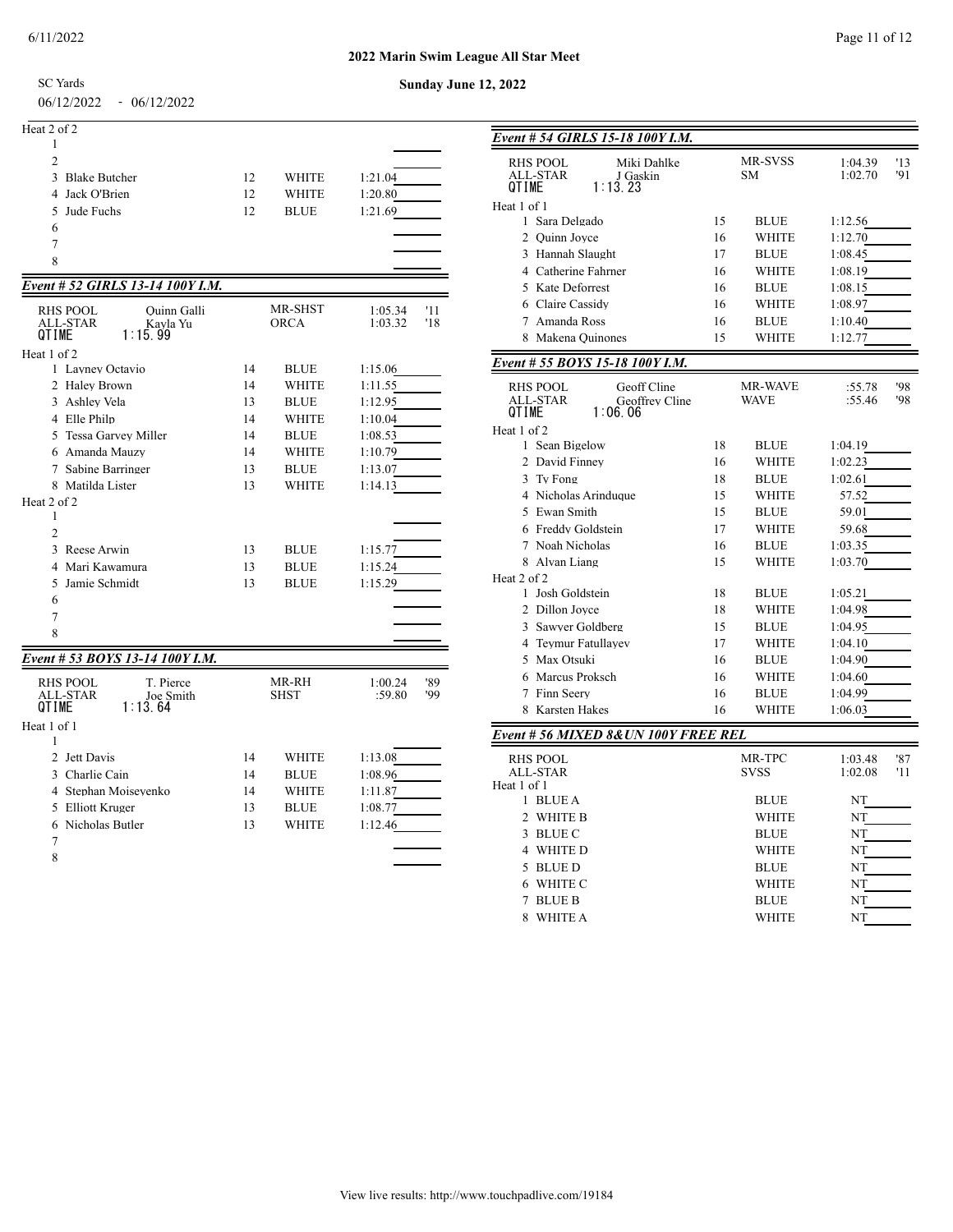## **2022 Marin Swim League All Star Meet Sunday June 12, 2022**

SC Yards

06/12/2022 - 06/12/2022

| Heat 2 of 2     |    |              |         |
|-----------------|----|--------------|---------|
|                 |    |              |         |
| $\overline{c}$  |    |              |         |
| 3 Blake Butcher | 12 | <b>WHITE</b> | 1:21.04 |
| 4 Jack O'Brien  | 12 | <b>WHITE</b> | 1:20.80 |
| 5 Jude Fuchs    | 12 | <b>BLUE</b>  | 1:21.69 |
| 6               |    |              |         |
|                 |    |              |         |

# *Event # 52 GIRLS 13-14 100Y I.M.*

| <b>RHS POOL</b><br>Quinn Galli<br><b>ALL-STAR</b><br>Kavla Yu<br>QTIME<br>1:15.99       |    | MR-SHST<br><b>ORCA</b> | 1:05.34<br>1:03.32 | '11<br>'18 |
|-----------------------------------------------------------------------------------------|----|------------------------|--------------------|------------|
| Heat 1 of 2                                                                             |    |                        |                    |            |
| 1 Lavney Octavio                                                                        | 14 | <b>BLUE</b>            | 1:15.06            |            |
| 2 Halev Brown                                                                           | 14 | <b>WHITE</b>           | 1:11.55            |            |
| 3 Ashlev Vela                                                                           | 13 | <b>BLUE</b>            | 1:12.95            |            |
| 4 Elle Philp                                                                            | 14 | <b>WHITE</b>           | 1:10.04            |            |
| 5 Tessa Garvey Miller                                                                   | 14 | <b>BLUE</b>            | 1:08.53            |            |
| 6 Amanda Mauzy                                                                          | 14 | <b>WHITE</b>           | 1:10.79            |            |
| 7 Sabine Barringer                                                                      | 13 | <b>BLUE</b>            | 1:13.07            |            |
| 8 Matilda Lister                                                                        | 13 | <b>WHITE</b>           | 1:14.13            |            |
| Heat 2 of 2                                                                             |    |                        |                    |            |
| 1                                                                                       |    |                        |                    |            |
| $\overline{2}$                                                                          |    |                        |                    |            |
| 3 Reese Arwin                                                                           | 13 | <b>BLUE</b>            | 1:15.77            |            |
| 4 Mari Kawamura                                                                         | 13 | <b>BLUE</b>            | 1:15.24            |            |
| Jamie Schmidt<br>5                                                                      | 13 | <b>BLUE</b>            | 1:15.29            |            |
| 6                                                                                       |    |                        |                    |            |
| 7                                                                                       |    |                        |                    |            |
| 8                                                                                       |    |                        |                    |            |
| Event # 53 BOYS 13-14 100Y I.M.                                                         |    |                        |                    |            |
| T. Pierce<br><b>RHS POOL</b><br><b>ALL-STAR</b><br>Joe Smith<br>1:13.64<br><b>OTIME</b> |    | MR-RH<br><b>SHST</b>   | 1:00.24<br>:59.80  | '89<br>'99 |
| Heat 1 of 1                                                                             |    |                        |                    |            |
| 1                                                                                       |    |                        |                    |            |
| Jett Davis<br>$\mathfrak{D}$                                                            | 14 | <b>WHITE</b>           | 1:13.08            |            |
| 3 Charlie Cain                                                                          | 14 | <b>BLUE</b>            | 1:08.96            |            |
| 4 Stephan Moiseyenko                                                                    | 14 | <b>WHITE</b>           | 1:11.87            |            |
| 5 Elliott Kruger                                                                        | 13 | <b>BLUE</b>            | 1:08.77            |            |
| Nicholas Butler<br>6                                                                    | 13 | <b>WHITE</b>           | 1:12.46            |            |
| 7                                                                                       |    |                        |                    |            |

| Event # 54 GIRLS 15-18 100Y I.M.    |    |             |         |     |
|-------------------------------------|----|-------------|---------|-----|
| <b>RHS POOL</b><br>Miki Dahlke      |    | MR-SVSS     | 1:04.39 | '13 |
| ALL-STAR<br>J Gaskin                |    | SΜ          | 1:02.70 | '91 |
| 1:13.23<br>QTIME                    |    |             |         |     |
| Heat 1 of 1                         |    |             |         |     |
| 1 Sara Delgado                      | 15 | BLUE        | 1:12.56 |     |
| 2 Ouinn Joyce                       | 16 | WHITE       | 1:12.70 |     |
| 3 Hannah Slaught                    | 17 | BLUE        | 1:08.45 |     |
| 4 Catherine Fahrner                 | 16 | WHITE       | 1:08.19 |     |
| 5 Kate Deforrest                    | 16 | BLUE        | 1:08.15 |     |
| 6 Claire Cassidy                    | 16 | WHITE       | 1:08.97 |     |
| Amanda Ross<br>7                    | 16 | <b>BLUE</b> | 1:10.40 |     |
| Makena Quinones<br>8                | 15 | WHITE       | 1:12.77 |     |
| Event # 55 BOYS 15-18 100Y I.M.     |    |             |         |     |
| <b>RHS POOL</b><br>Geoff Cline      |    | MR-WAVE     | :55.78  | '98 |
| ALL-STAR<br>Geoffrey Cline          |    | <b>WAVE</b> | :55.46  | '98 |
| 1:06.06<br>QTIME                    |    |             |         |     |
| Heat 1 of 2                         |    |             |         |     |
| 1 Sean Bigelow                      | 18 | BLUE        | 1:04.19 |     |
| 2 David Finney                      | 16 | WHITE       | 1:02.23 |     |
| 3<br>Tv Fong                        | 18 | <b>BLUE</b> | 1:02.61 |     |
| 4 Nicholas Arinduque                | 15 | WHITE       | 57.52   |     |
| 5 Ewan Smith                        | 15 | <b>BLUE</b> | 59.01   |     |
| 6 Freddy Goldstein                  | 17 | WHITE       | 59.68   |     |
| Noah Nicholas<br>7                  | 16 | BLUE        | 1:03.35 |     |
| 8 Alvan Liang                       | 15 | WHITE       | 1:03.70 |     |
| Heat 2 of 2                         |    |             |         |     |
| 1 Josh Goldstein                    | 18 | BLUE        | 1:05.21 |     |
| 2 Dillon Joyce                      | 18 | WHITE       | 1:04.98 |     |
| 3<br>Sawver Goldberg                | 15 | <b>BLUE</b> | 1:04.95 |     |
| <b>Teymur Fatullayev</b><br>4       | 17 | WHITE       | 1:04.10 |     |
| Max Otsuki<br>5.                    | 16 | <b>BLUE</b> | 1:04.90 |     |
| Marcus Proksch<br>6                 | 16 | WHITE       | 1:04.60 |     |
| Finn Seerv<br>7                     | 16 | BLUE        | 1:04.99 |     |
| <b>Karsten Hakes</b><br>8           | 16 | WHITE       | 1:06.03 |     |
|                                     |    |             |         |     |
| Event # 56 MIXED 8&UN 100Y FREE REL |    |             |         |     |
| <b>RHS POOL</b>                     |    | MR-TPC      | 1:03.48 | '87 |
| <b>ALL-STAR</b><br>Heat 1 of 1      |    | <b>SVSS</b> | 1:02.08 | '11 |
| 1 BLUE A                            |    | BLUE        | NT      |     |
| 2<br>WHITE B                        |    | WHITE       | NT      |     |
| 3<br>BLUE C                         |    | BLUE        | NT      |     |
| 4 WHITE D                           |    | WHITE       | NT      |     |
| 5                                   |    |             |         |     |
| <b>BLUE D</b>                       |    | BLUE        | NT      |     |
| WHITE C<br>6                        |    | WHITE       | NT      |     |
| <b>BLUE B</b><br>7                  |    | <b>BLUE</b> | NT      |     |
| 8<br><b>WHITE A</b>                 |    | WHITE       | NT      |     |